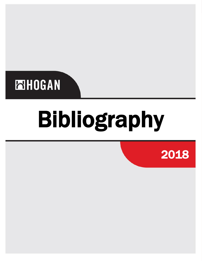

# Bibliography

 $\overline{a}$ 



j

Ī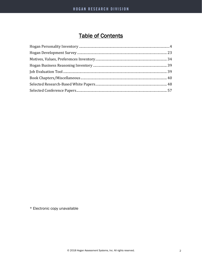#### **Table of Contents**

\* Electronic copy unavailable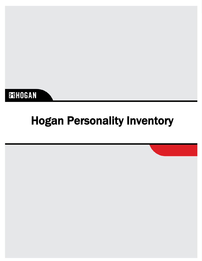

# Hogan Personality Inventory

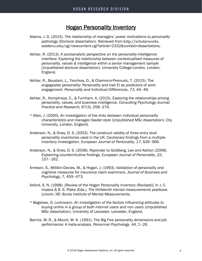#### **Hogan Personality Inventory**

- <span id="page-3-0"></span>Adams, J. D. (2015). *The relationship of managers' power motivations to personality pathology* (Doctoral dissertation). Retrieved from http://scholarworks. waldenu.edu/cgi/viewcontent.cgi?article=2332&context=dissertations.
- Akhtar, R. (2013). *A socioanalytic perspective on the personality-intelligence interface: Exploring the relationship between contextualised measures of personality, values & intelligence within a senior management sample* (Unpublished doctoral dissertation). University College-London, London, England.
- Akhtar, R., Boustani, L., Tsivrikos, D., & Chamorro-Premuzic, T. (2015). The engageable personality: Personality and trait EI as predictors of work engagement. *Personality and Individual Differences*, *73*, 44–49.
- Akhtar, R., Humphreys, C., & Furnham, A. (2015). Exploring the relationships among personality, values, and business intelligence. *Consulting Psychology Journal: Practice and Research,* 67(3), 258–276.
- \* Allen, J. (2000). *An investigation of the links between individual personality characteristics and manager/leader style* (Unpublished MSc dissertation). City University, London, England.
- Anderson, N., & Ones, D. S. (2003). The construct validity of three entry level personality inventories used in the UK: Cautionary findings from a multipleinventory investigation. *European Journal of Personality, 17*, S39–S66.
- Anderson, N., & Ones, D. S. (2008). Rejoinder to Goldberg, Lee and Ashton (2008). Explaining counterintuitive findings. *European Journal of Personality, 22*, 157–162.
- Arneson, S., Millikin-Davies, M., & Hogan, J. (1993). Validation of personality and cognitive measures for insurance claim examiners. *Journal of Business and Psychology, 7,* 459–473.
- Axford, S. N. (1998). [Review of the Hogan Personality Inventory (Revised)]. In J. C. Impara & B. S. Plake (Eds.), *The thirteenth mental measurements yearbook*. Lincoln, NE: Buros Institute of Mental Measurements.
- \* Bagshaw, D. (unknown). *An investigation of the factors influencing attitudes to buying online in a group of both internet users and non users* (Unpublished MSc dissertation). University of Leicester, Leicester, England.
- Barrick, M. R., & Mount, M. K. (1991). The Big Five personality dimensions and job performance: A meta-analysis. *Personnel Psychology, 44,* 1–26.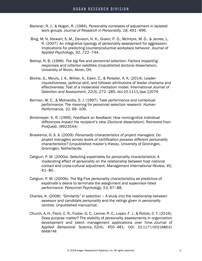- Biersner, R. J., & Hogan, R. (1984). Personality correlates of adjustment in isolated work groups. *Journal of Research in Personality, 18*, 491–496.
- Bing, M. N, Stewart, S. M., Davison, H. K., Green, P. D., McIntyre, M. D., & James, L. R. (2007). An integrative typology of personality assessment for aggression: Implications for predicting counterproductive workplace behavior. *Journal of Applied Psychology, 92,* 722–744.
- Bishop, N. B. (1996). *The big five and personnel selection: Factors impacting responses and criterion validities* (Unpublished doctoral dissertation). University of Akron, Akron, OH.
- Blickle, G., Meurs, J. A., Wihler, A., Ewen, C., & Peiseler, A. K. (2014). Leader inquisitiveness, political skill, and follower attributions of leader charisma and effectiveness: Test of a moderated mediation model. *International Journal of Selection and Assessment, 22*(3), 272–285. doi:10.1111/ijsa.12076
- Borman, W. C., & Motowidlo, S. J. (1997). Task performance and contextual performance: The meaning for personnel selection research. *Human Performance, 10*, 99–109.
- Brinkmeyer, K. R. (1999). *Feedback on feedback: How noncognitive individual differences impact the recipient's view* (Doctoral dissertation). Retrieved from ProQuest. (9923544)
- Broekema, H. S. A. (2009). *Personality characteristics of project managers: Do project managers across levels of certification possess different personality characteristics?* (Unpublished master's thesis). University of Groningen, Groningen, Netherlands.
- Caligiuri, P. M. (2000a). Selecting expatriates for personality characteristics: A moderating effect of personality on the relationship between host national contact and cross-cultural adjustment. *Management International Review, 40,*  61–80.
- Caligiuri, P. M. (2000b). The Big Five personality characteristics as predictors of expatriate's desire to terminate the assignment and supervisor-rated performance. *Personnel Psychology, 53,* 67–88.
- Charles, K. (2008). *"Similarity" in selection – A study into the relationship between assessor and candidate personality and the ratings given in personality centres*. Unpublished manuscript.
- Church, A. H., Fleck, C. R., Foster, G. C., Levine, R. C., Lopez, F. J., & Rotolo, C. T. (2016). Does purpose matter? The stability of personality assessments in organization development and talent management applications over time. *Journal of Applied Behavioral Science*, *52*(4), 450–481. DOI: 10.1177/002188631 6668748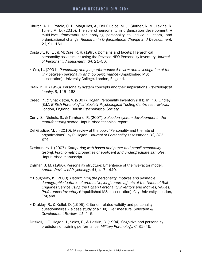- Church, A. H., Rotolo, C. T., Margulies, A., Del Giudice, M. J., Ginther, N. M., Levine, R. Tuller, M. D. (2015). The role of personality in organization development: A multi-level framework for applying personality to individual, team, and organizational change. *Research in Organizational Change and Development, 23*, 91–166.
- Costa Jr., P. T., , & McCrae, R. R. (1995). Domains and facets: Hierarchical personality assessment using the Revised NEO Personality Inventory. *Journal of Personality Assessment*, *64*, 21–50.
- \* Cox, L., (2001). *Personality and job performance: A review and investigation of the link between personality and job performance* (Unpublished MSc dissertation). University College, London, England.
- Craik, K. H. (1998). Personality system concepts and their implications. *Psychological Inquiry, 9*, 145–168.
- Creed, P., & Shackleton, V. (2007). Hogan Personality Inventory (HPI). In P. A. Lindley (Ed.), *British Psychological Society Psychological Testing Centre test reviews.* London, England: British Psychological Society.
- Curry, S., Nichols, S., & Tamhane, R. (2007). *Selection system development in the manufacturing sector*. Unpublished technical report.
- Del Giudice, M. J. (2010). [A review of the book "Personality and the fate of organizations", by R. Hogan]. *Journal of Personality Assessment, 92,* 373– 374.
- Deslauriers, J. (2007). *Comparing web-based and paper and pencil personality testing: Psychometric properties of applicant and undergraduate samples*. Unpublished manuscript.
- Digman, J. M. (1990). Personality structure: Emergence of the five-factor model. *Annual Review of Psychology, 41,* 417– 440.
- \* Dougherty, K. (2000). *Determining the personality, motives and desirable demographic features of productive, long tenure agents at the National Rail Enquiries Service using the Hogan Personality Inventory and Motives, Values, Preferences Inventory* (Unpublished MSc dissertation), City University, London, England.
- \* Drakley, R., & Kellet, D. (1995). Criterion-related validity and personality questionnaires – a case study of a "Big Five" measure. *Selection & Development Review, 11*, 4–6.
- Driskell, J. E., Hogan, J., Salas, E., & Hoskin, B. (1994). Cognitive and personality predictors of training performance. *Military Psychology, 6*, 31–46.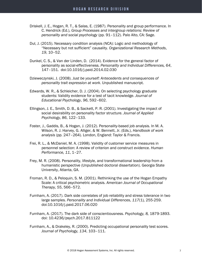- Driskell, J. E., Hogan, R. T., & Salas, E. (1987). Personality and group performance. In C. Hendrick (Ed.), *Group Processes and intergroup relations: Review of personality and social psychology* (pp. 91–112). Palo Alto, CA: Sage.
- Dul, J. (2015). Necessary condition analysis (NCA): Logic and methodology of "Necessary but not sufficient" causality. *Organizational Research Methods*, *19*, 10–52.
- Dunkel, C. S., & Van der Linden, D. (2014). Evidence for the general factor of personality as social-effectiveness. *Personality and Individual Differences, 64*, 147–151. doi:10.1016/j.paid.2014.02.030
- Dzieweczynski, J. (2008). *Just be yourself: Antecedents and consequences of personality trait expression at work*. Unpublished manuscript.
- Edwards, W. R., & Schleicher, D. J. (2004). On selecting psychology graduate students: Validity evidence for a test of tacit knowledge. *Journal of Educational Psychology*, *96*, 592–602.
- Ellingson, J. E., Smith, D. B., & Sackett, P. R. (2001). Investigating the impact of social desirability on personality factor structure. *Journal of Applied Psychology, 86*, 122–133.
- Foster, J., Gaddis, B., & Hogan, J. (2012). Personality-based job analysis. In M. A. Wilson, R. J. Harvey, G. Alliger, & W. Bennett, Jr. (Eds.), *Handbook of work analysis* (pp. 247–264)*.* London, England: Taylor & Francis.
- Frei, R. L., & McDaniel, M. A. (1998). Validity of customer service measures in personnel selection: A review of criterion and construct evidence. *Human Performance, 11*, 1–27.
- Frey, M. R. (2008). Personality, lifestyle, and transformational leadership from a humanistic perspective (Unpublished doctoral dissertation). Georgia State University, Atlanta, GA.
- Froman, R. D., & Peloquin, S. M. (2001). Rethinking the use of the Hogan Empathy Scale: A critical psychometric analysis. *American Journal of Occupational Therapy, 55*, 566–572.
- Furnham, A. (2017). Dark side correlates of job reliability and stress tolerance in two large samples. *Personality and Individual Differences*, *117*(1)*,* 255-259. doi:10.1016/j.paid.2017.06.020
- Furnham, A. (2017). The dark side of conscientiousness. *Psychology, 8,* 1879-1893. doi: 10.4236/psych.2017.811122
- Furnham, A., & Drakeley, R. (2000). Predicting occupational personality test scores. *Journal of Psychology, 134*, 103–111.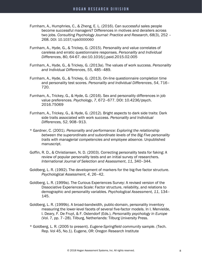- Furnham, A., Humphries, C., & Zheng, E. L. (2016). Can successful sales people become successful managers? Differences in motives and derailers across two jobs. *Consulting Psychology Journal: Practice and Research*, *68*(3), 252 – 268. DOI: 10.1037/cpb0000060
- Furnham, A., Hyde, G., & Trickey, G. (2015). Personality and value correlates of careless and erratic questionnaire responses. *Personality and Individual Differences*, 80, 64-67. doi:10.1016/j.paid.2015.02.005
- Furnham, A., Hyde, G., & Trickey, G. (2013a). The values of work success. *Personality and Individual Differences*, *55*, 485–489.
- Furnham, A., Hyde, G., & Trickey, G. (2013). On-line questionnaire completion time and personality test scores. *Personality and Individual Differences*, *54*, 716– 720.
- Furnham, A., Trickey, G., & Hyde, G. (2016). Sex and personality differences in job value preferences. *Psychology*, *7*, 672–677. DOI: [10.4236/psych.](http://dx.doi.org/10.4236/psych.2016.75069) [2016.75069](http://dx.doi.org/10.4236/psych.2016.75069)
- Furnham, A., Trickey, G., & Hyde, G. (2012). Bright aspects to dark side traits: Dark side traits associated with work success. *Personality and Individual Differences, 52*, 908–913.
- \* Gardner, C. (2001). *Personality and performance: Exploring the relationship between the superordinate and subordinate levels of the Big Five personality traits with managerial competencies and employee absence*. Unpublished manuscript.
- Goffin, R. D., & Christiansen, N. D. (2003). Correcting personality tests for faking: A review of popular personality tests and an initial survey of researchers. *International Journal of Selection and Assessment*, *11*, 340–344.
- Goldberg, L. R. (1992). The development of markers for the big-five factor structure. *Psychological Assessment, 4*, 26–42.
- Goldberg, L. R. (1999a). The Curious Experiences Survey: A revised version of the Dissociative Experiences Scale: Factor structure, reliability, and relations to demographic and personality variables. *Psychological Assessment, 11*, 134– 145.
- Goldberg, L. R. (1999b). A broad-bandwidth, public-domain, personality inventory measuring the lower-level facets of several five-factor models. In I. Mervielde, I. Deary, F. De Fruyt, & F. Ostendorf (Eds.), *Personality psychology in Europe* (Vol. 7, pp. 7–28). Tilburg, Netherlands: Tilburg University Press.
- \* Goldberg, L. R. (2005 to present). *Eugene-Springfield community sample*. (Tech. Rep. Vol 45, No.1). Eugene, OR: Oregon Research Institute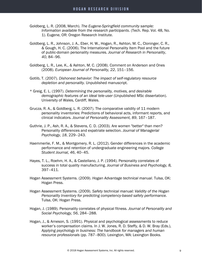- Goldberg, L. R. (2008, March). *The Eugene-Springfield community sample: Information available from the research participants*. (Tech. Rep. Vol. 48, No. 1). Eugene, OR: Oregon Research Institute.
- Goldberg, L. R., Johnson, J. A., Eber, H. W., Hogan, R., Ashton, M. C., Cloninger, C. R., & Gough, H. C. (2006). The International Personality Item Pool and the future of public-domain personality measures. *Journal of Research in Personality*, *40*, 84–96.
- Goldberg, L. R., Lee, K., & Ashton, M. C. (2008). Comment on Anderson and Ones (2008). *European Journal of Personality, 22*, 151–156.
- Gotlib, T. (2007). *Dishonest behavior: The impact of self-regulatory resource depletion and personality*. Unpublished manuscript.
- \* Greig, E. L. (1997). *Determining the personality, motives, and desirable demographic features of an ideal tele-user* (Unpublished MSc dissertation). University of Wales, Cardiff, Wales.
- Grucza, R. A., & Goldberg, L. R. (2007). The comparative validity of 11 modern personality inventories: Predictions of behavioral acts, informant reports, and clinical indicators. *Journal of Personality Assessment, 89*, 167–187.
- Guthrie, J. P., Ash, R. A., & Stevens, C. D. (2003). Are women "better" than men? Personality differences and expatriate selection. *Journal of Managerial Psychology*, *18*, 229–243.
- Haemmerlie, F. M., & Montgomery, R. L. (2012). Gender differences in the academic performance and retention of undergraduate engineering majors. *College Student Journal, 46*, 40–45.
- Hayes, T. L., Roehm, H. A., & Castellano, J. P. (1994). Personality correlates of success in total quality manufacturing. *Journal of Business and Psychology, 8,* 397–411.
- Hogan Assessment Systems. (2009). *Hogan Advantage technical manual*. Tulsa, OK: Hogan Press.
- Hogan Assessment Systems. (2009). *Safety technical manual: Validity of the Hogan Personality Inventory for predicting competency-based safety performance.* Tulsa, OK: Hogan Press.
- Hogan, J. (1989). Personality correlates of physical fitness. *Journal of Personality and Social Psychology, 56*, 284–288.
- Hogan, J., & Arneson, S. (1991). Physical and psychological assessments to reduce worker's compensation claims. In J. W. Jones, R. D. Steffy, & D. W. Bray (Eds.), *Applying psychology in business: The handbook for managers and human resource professionals* (pp. 787–800). Lexington, MA: Lexington Books.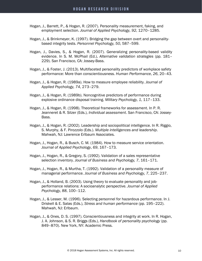- Hogan, J., Barrett, P., & Hogan, R. (2007). Personality measurement, faking, and employment selection. *Journal of Applied Psychology, 92*, 1270–1285.
- Hogan, J., & Brinkmeyer, K. (1997). Bridging the gap between overt and personalitybased integrity tests. *Personnel Psychology, 50*, 587–599.
- Hogan, J., Davies, S., & Hogan, R. (2007). Generalizing personality-based validity evidence. In S. M. McPhail (Ed.), *Alternative validation strategies* (pp. 181– 229). San Francisco, CA: Jossey-Bass.
- Hogan, J., & Foster, J. (2013). Multifaceted personality predictors of workplace safety performance: More than conscientiousness. *Human Performance*, *26*, 20–43.
- Hogan, J., & Hogan, R. (1989a). How to measure employee reliability. *Journal of Applied Psychology, 74*, 273–279.
- Hogan, J., & Hogan, R. (1989b). Noncognitive predictors of performance during explosive ordinance disposal training. *Military Psychology, 1*, 117–133.
- Hogan, J., & Hogan, R. (1998). Theoretical frameworks for assessment. In P. R. Jeanneret & R. Silzer (Eds.), *Individual assessment*. San Francisco, CA: Jossey-Bass.
- Hogan, J., & Hogan, R. (2002). Leadership and sociopolitical intelligence. In R. Riggio, S. Murphy, & F. Pirozzolo (Eds.). *Multiple intelligences and leadership*. Mahwah, NJ: Lawrence Erlbaum Associates.
- Hogan, J., Hogan, R., & Busch, C. M. (1984). How to measure service orientation. *Journal of Applied Psychology*, *69*, 167–173.
- Hogan, J., Hogan, R., & Gregory, S. (1992). Validation of a sales representative selection inventory. *Journal of Business and Psychology, 7*, 161–171.
- Hogan, J., Hogan, R., & Murtha, T. (1992). Validation of a personality measure of managerial performance. *Journal of Business and Psychology, 7*, 225–237.
- Hogan, J., & Holland, B. (2003). Using theory to evaluate personality and jobperformance relations: A socioanalytic perspective. *Journal of Applied Psychology, 88*, 100–112.
- Hogan, J., & Lesser, M. (1996). Selecting personnel for hazardous performance. In J. Driskell & E. Salas (Eds.), *Stress and human performance* (pp. 195–222). Mahwah, NJ: Erlbaum.
- Hogan, J., & Ones, D. S. (1997). Conscientiousness and integrity at work. In R. Hogan, J. A. Johnson, & S. R. Briggs (Eds.), *Handbook of personality psychology* (pp. 849–870). New York, NY: Academic Press.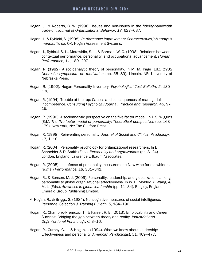- Hogan, J., & Roberts, B. W. (1996). Issues and non-issues in the fidelity-bandwidth trade-off. *Journal of Organizational Behavior, 17,* 627–637.
- Hogan, J., & Rybicki, S. (1998). *Performance Improvement Characteristics job analysis manual.* Tulsa, OK: Hogan Assessment Systems.
- Hogan, J., Rybicki, S. L., Motowidlo, S. J., & Borman, W. C. (1998). Relations between contextual performance, personality, and occupational advancement. *Human Performance, 11*, 189–207.
- Hogan, R. (1982). A socioanalytic theory of personality. In M. M. Page (Ed.), *1982 Nebraska symposium on motivation* (pp. 55–89). Lincoln, NE: University of Nebraska Press.
- Hogan, R. (1992). Hogan Personality Inventory. *Psychological Test Bulletin*, *5*, 130– 136.
- Hogan, R. (1994). Trouble at the top: Causes and consequences of managerial incompetence. *Consulting Psychology Journal: Practice and Research, 46*, 9– 15.
- Hogan, R. (1996). A socioanalytic perspective on the five-factor model. In J. S. Wiggins (Ed.), *The five-factor model of personality: Theoretical perspectives* (pp. 163– 179). New York, NY: The Guilford Press.
- Hogan, R. (1998). Reinventing personality. *Journal of Social and Clinical Psychology, 17*, 1–10.
- Hogan, R. (2004). Personality psychology for organizational researchers. In B. Schneider & D. Smith (Eds.), *Personality and organizations* (pp. 3–24). London, England: Lawrence Erlbaum Associates.
- Hogan, R. (2005). In defense of personality measurement: New wine for old whiners. *Human Performance, 18*, 331–341.
- Hogan, R., & Benson, M. J. (2009). Personality, leadership, and globalization: Linking personality to global organizational effectiveness. In W. H. Mobley, Y. Wang, & M. Li (Eds.), *Advances in global leadership* (pp. 11–34). Bingley, England: Emerald Group Publishing Limited.
- \* Hogan, R., & Briggs, S. (1984). Noncognitive measures of social intelligence. *Personnel Selection & Training Bulletin, 5,* 184–190.
- Hogan, R., Chamorro-Premuzic, T., & Kaiser, R. B. (2013). Employability and Career Success: Bridging the gap between theory and reality. *Industrial and Organizational Psychology, 6,* 3–16.
- Hogan, R., Curphy, G. J., & Hogan, J. (1994). What we know about leadership: Effectiveness and personality. *American Psychologist, 51*, 469–477.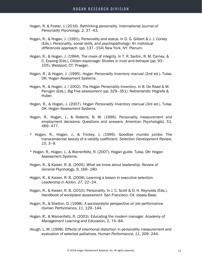- Hogan, R. & Foster, J. (2016). Rethinking personality. *International Journal of Personality Psychology, 2,* 37–43.
- Hogan, R., & Hogan, J. (1991). Personality and status. In D. G. Gilbert & J. J. Conley (Eds.), *Personality, social skills, and psychopathology: An individual differences approach*. (pp. 137–154) New York, NY: Plenum.
- Hogan, R., & Hogan, J. (1994). The mask of integrity. In T. R. Sarbin, R. M. Carney, & C. Eoyang (Eds.), *Citizen espionage: Studies in trust and betrayal* (pp. 93– 105). Westport, CT: Praeger.
- Hogan, R., & Hogan, J. (1995). *Hogan Personality Inventory manual* (2nd ed.). Tulsa, OK: Hogan Assessment Systems.
- Hogan, R., & Hogan, J. ( 2002). The Hogan Personality Inventory. In B. De Raad & M. Perugini (Eds.), *Big Five assessment* (pp. 329–351). Netherlands: Hogrefe & Huber.
- Hogan, R., & Hogan, J. (2007). *Hogan Personality Inventory manual* (3rd ed.). Tulsa, OK: Hogan Assessment Systems.
- Hogan, R., Hogan, J., & Roberts, B. W. (1996). Personality measurement and employment decisions: Questions and answers. *American Psychologist, 51,*  469–477.
- \* Hogan, R., Hogan, J., & Trickey, J. (1999). Goodbye mumbo jumbo: The transcendental beauty of a validity coefficient. *Selection Development Review, 15,* 3–9.
- \* Hogan, R., Hogan, J., & Warrenfeltz, R. (2007). *Hogan guide.* Tulsa, OK: Hogan Assessment Systems.
- Hogan, R., & Kaiser, R. B. (2005). What we know about leadership. *Review of General Psychology, 9*, 169–180.
- Hogan, R., & Kaiser, R. B. (2008). Learning a lesson in executive selection. *Leadership in Action, 27,* 22–24.
- Hogan, R., & Kaiser, R. B. (2010). Personality. In J. C. Scott & D. H. Reynolds (Eds.), *Handbook of workplace assessment*. San Francisco, CA: Jossey-Bass.
- Hogan, R., & Shelton, D. (1998). A socioanalytic perspective on job performance. *Human Performance, 11*, 129–144.
- Hogan, R., & Warrenfeltz, R. (2003). Educating the modern manager. *Academy of Management Learning and Education, 2*, 74–84.
- Hough, L. M. (1998). Effects of intentional distortion in personality measurement and evaluation of selected palliatives. *Human Performance, 11*, 209–244.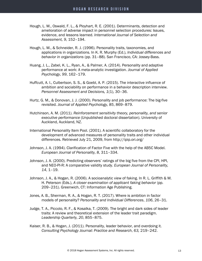- Hough, L. M., Oswald, F. L., & Ployhart, R. E. (2001). Determinants, detection and amelioration of adverse impact in personnel selection procedures: Issues, evidence, and lessons learned. *International Journal of Selection and Assessment, 9*, 152–194.
- Hough, L. M., & Schneider, R. J. (1996). Personality traits, taxonomies, and applications in organizations. In K. R. Murphy (Ed.), *Individual differences and behavior in organizations* (pp. 31–88). San Francisco, CA: Jossey-Bass.
- Huang, J. L., Zabel, K. L., Ryan, A., & Palmer, A. (2014). Personality and adaptive performance at work: A meta-analytic investigation. *Journal of Applied Psychology*, *99*, 162–179.
- Huffcutt, A. I., Culbertson, S. S., & Goebl, A. P. (2015). The interactive influence of ambition and sociability on performance in a behavior description interview. *Personnel Assessment and Decisions, 1*(1), 30–36.
- Hurtz, G. M., & Donovan, J. J. (2000). Personality and job performance: The big-five revisited. *Journal of Applied Psychology, 85*, 869–879.
- Hutchinson, A. M. (2011). *Reinforcement sensitivity theory, personality, and senior executive performance* (Unpublished doctoral dissertation). University of Auckland, Auckland, NZ.
- International Personality Item Pool. (2001). A scientific collaboratory for the development of advanced measures of personality traits and other individual differences. Retrieved July 21, 2009, from http://ipip.ori.org/
- Johnson, J. A. (1994). Clarification of Factor Five with the help of the AB5C Model. *European Journal of Personality, 8*, 311–334.
- Johnson, J. A. (2000). Predicting observers' ratings of the big five from the CPI, HPI, and NEO-PI-R: A comparative validity study. *European Journal of Personality, 14*, 1–19.
- Johnson, J. A., & Hogan, R. (2006). A socioanalytic view of faking. In R. L. Griffith & M. H. Peterson (Eds.), *A closer examination of applicant faking behavior* (pp. 209–231). Greenwich, CT: Information Age Publishing.
- Jones, A. B., Sherman, R. A., & Hogan, R. T. (2017). Where is ambition in factor models of personality? *Personality and Individual Differences*, *106*, 26–31.
- Judge, T. A., Piccolo, R. F., & Kosalka, T. (2009). The bright and dark sides of leader traits: A review and theoretical extension of the leader trait paradigm. *Leadership Quarterly, 20*, 855–875.
- Kaiser, R. B., & Hogan, J. (2011). Personality, leader behavior, and overdoing it. *Consulting Psychology Journal: Practice and Research*, *63,* 219–242.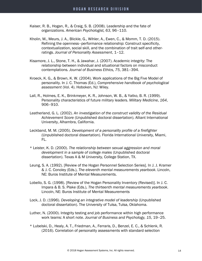- Kaiser, R. B., Hogan, R., & Craig, S. B. (2008). Leadership and the fate of organizations. *American Psychologist, 63*, 96–110.
- Kholin, M., Meurs, J. A., Blickle, G., Wihler, A., Ewen, C., & Momm, T. D. (2015). Refining the openness–performance relationship: Construct specificity, contextualization, social skill, and the combination of trait self-and otherratings. *Journal of Personality Assessment*, 1–12.
- Kisamore, J. L., Stone, T. H., & Jawahar, J. (2007). Academic integrity: The relationship between individual and situational factors on misconduct contemplations*. Journal of Business Ethics, 75*, 381–394.
- Kroeck, K. G., & Brown, K. W. (2004). Work applications of the Big Five Model of personality. In J. C. Thomas (Ed.), *Comprehensive handbook of psychological assessment* (Vol. 4). Hoboken, NJ: Wiley.
- Lall, R., Holmes, E. K., Brinkmeyer, K. R., Johnson, W. B., & Yatko, B. R. (1999). Personality characteristics of future military leaders. *Military Medicine*, *164*, 906–910.
- Leatherland, G. L. (2002). *An investigation of the construct validity of the Residual Achievement Score* (Unpublished doctoral dissertation). Alliant International University, Alhambra, California.
- Leckband, M. M. (2005). *Development of a personality profile of a firefighter* (Unpublished doctoral dissertation). Florida International University, Miami, FL.
- \* Leister, K. D. (2000). *The relationship between sexual aggression and moral development in a sample of college males* (Unpublished doctoral dissertation). Texas A & M University, College Station, TX.
- Leung, S. A. (1992). [Review of the Hogan Personnel Selection Series]. In J. J. Kramer & J. C. Conoley (Eds.), *The eleventh mental measurements yearbook*. Lincoln, NE: Buros Institute of Mental Measurements.
- Lobello, S. G. (1998). [Review of the Hogan Personality Inventory (Revised)]. In J. C. Impara & B. S. Plake (Eds.), *The thirteenth mental measurements yearbook*. Lincoln, NE: Buros Institute of Mental Measurements
- Lock, J. D. (1996). *Developing an integrative model of leadership* (Unpublished doctoral dissertation). The University of Tulsa, Tulsa, Oklahoma.
- Luther, N. (2000). Integrity testing and job performance within high performance work teams: A short note. *Journal of Business and Psychology, 15*, 19–25.
- \* Lubelski, D., Healy, A. T., Friedman, A., Ferraris, D., Benzel, E. C., & Schlenk, R. (2016). Correlation of personality assessments with standard selection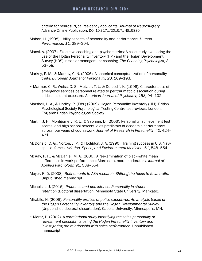criteria for neurosurgical residency applicants. *Journal of Neurosurgery*. Advance Online Publication. DOI[:10.3171/2015.7.JNS15880](https://dx.doi.org/10.3171/2015.7.JNS15880)

- Mabon, H. (1998). Utility aspects of personality and performance. *Human Performance, 11,* 289–304.
- Mansi, A. (2007). Executive coaching and psychometrics: A case study evaluating the use of the Hogan Personality Inventory (HPI) and the Hogan Development Survey (HDS) in senior management coaching. *The Coaching Psychologist, 3*, 53–58.
- Markey, P. M., & Markey, C. N. (2006). A spherical conceptualization of personality traits. *European Journal of Personality, 20,* 169–193.
- \* Marmer, C. R., Weiss, D. S., Metzler, T. J., & Delucchi, K. (1996). Characteristics of emergency services personnel related to peritraumatic dissociation during critical incident exposure. *American Journal of Psychiatry, 153,* 94–102.
- Marshall, L. A., & Lindley, P. (Eds.) (2009). Hogan Personality Inventory (HPI). British Psychological Society Psychological Testing Centre test reviews. London, England: British Psychological Society.
- Martin, J. H., Montgomery, R. L., & Saphian, D. (2006). Personality, achievement test scores, and high school percentile as predictors of academic performance across four years of coursework. *Journal of Research in Personality, 40,* 424– 431.
- McDonald, D. G., Norton, J. P., & Hodgdon, J. A. (1990). Training success in U.S. Navy special forces. *Aviation, Space, and Environmental Medicine*, *61*, 548–554.
- McKay, P. F., & McDaniel, M. A. (2006). A reexamination of black-white mean differences in work performance: More data, more moderators. *Journal of Applied Psychology, 91,* 538–554.
- Meyer, K. D. (2008). *Refinements to ASA research: Shifting the focus to focal traits*. Unpublished manuscript.
- Michels, L. J. (2016). *Prudence and persistence: Personality in student retention* (Doctoral dissertation, Minnesota State University, Mankato).
- Mirabile, H. (2008). *Personality profiles of police executives: An analysis based on the Hogan Personality Inventory and the Hogan Developmental Survey* (Unpublished doctoral dissertation). Capella University, Minneapolis, MN.
- \* Morar, P. (2002). *A correlational study identifying the sales personality of recruitment consultants using the Hogan Personality Inventory and investigating the relationship with sales performance.* Unpublished manuscript.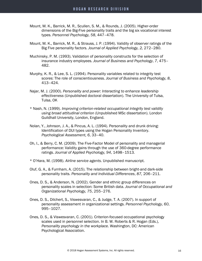- Mount, M. K., Barrick, M. R., Scullen, S. M., & Rounds, J. (2005). Higher-order dimensions of the Big-Five personality traits and the big six vocational interest types. *Personnel Psychology, 58*, 447–478.
- Mount, M. K., Barrick, M. R., & Strauss, J. P. (1994). Validity of observer ratings of the Big Five personality factors. *Journal of Applied Psychology, 2,* 272–280.
- Muchinsky, P. M. (1993). Validation of personality constructs for the selection of insurance industry employees. *Journal of Business and Psychology*, *7*, 475– 482.
- Murphy, K. R., & Lee, S. L. (1994). Personality variables related to integrity test scores: The role of conscientiousness. *Journal of Business and Psychology, 8*, 413–424.
- Najar, M. J. (2000). *Personality and power: Interacting to enhance leadership effectiveness* (Unpublished doctoral dissertation). The University of Tulsa, Tulsa, OK
- \* Nash, N. (1999). *Improving criterion-related occupational integrity test validity using broad attitudinal criterion* (Unpublished MSc dissertation). London Guildhall University, London, England.
- Nolan, Y., Johnson, J. A., & Pincus, A. L. (1994). Personality and drunk driving: Identification of DUI types using the Hogan Personality Inventory. *Psychological Assessment, 6*, 33–40.
- Oh, I., & Berry, C. M. (2009). The Five-Factor Model of personality and managerial performance: Validity gains through the use of 360-degree performance ratings. *Journal of Applied Psychology, 94*, 1498–1513*.*
- \* O'Hara, M. (1998). *Airline service agents*. Unpublished manuscript.
- Oluf, G. A., & Furnham, A. (2015). The relationship between bright-and dark-side personality traits. *Personality and Individual Differences*, *87,* 206–211.
- Ones, D. S., & Anderson, N. (2002). Gender and ethnic group differences on personality scales in selection: Some British data. *Journal of Occupational and Organizational Psychology, 75*, 255–276.
- Ones, D. S., Dilchert, S., Viswesvaran, C., & Judge, T. A. (2007). In support of personality assessment in organizational settings. *Personnel Psychology, 60*, 995–1027.
- Ones, D. S., & Viswesvaran, C. (2001). Criterion-focused occupational psychology scales used in personnel selection. In B. W. Roberts & R. Hogan (Eds.), *Personality psychology in the workplace*. Washington, DC: American Psychological Association.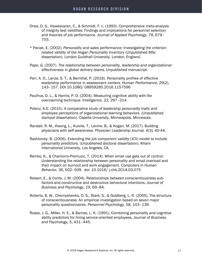- Ones, D. S., Viswesvaran, C., & Schmidt, F. L. (1993). Comprehensive meta-analysis of integrity test validities: Findings and implications for personnel selection and theories of job performance. *Journal of Applied Psychology, 78*, 679– 703.
- \* Pariak, E. (2002). *Personality and sales performance: Investigating the criterionrelated validity of the Hogan Personality Inventory* (Unpublished MSc dissertation). London Guildhall University, London, England.
- Pape, G. (2007). *The relationship between personality, leadership and organizational effectiveness in global delivery teams.* Unpublished manuscript.
- Parr, A. D., Lanza, S. T., & Bernthal, P. (2016). Personality profiles of effective leadership performance in assessment centers. *Human Performance*, *29*(2), 143–157. DOI 10.1080/ 08959285.2016.1157596
- Paulhus, D. L., & Harms, P. D. (2004). Measuring cognitive ability with the overclaiming technique. *Intelligence*, *32*, 297–314.
- Polenz, K.E. (2015). *A comparative study of leadership personality traits and employee perceptions of organizational learning behaviors.* (Unpublished doctoral dissertation). Capella University, Minneapolis, Minnesota.
- Randall, R. M., Kwong, L., Kuivila, T., Levine, B., & Kogan, M. (2017). Building physicians with self-awareness*. Physician Leadership Journal, 4*(3)*,* 40-44.
- Rashkovky, B. (2006). *Extending the job component validity (JCV) model to include personality predictors.* (Unpublished doctoral dissertation). Alliant International University, Los Angeles, CA.
- Reinke, K., & Chamorro-Premuzic, T. (2014). When email use gets out of control: Understanding the relationship between personality and email overload and their impact on burnout and work engagement. *Computers in Human Behavior, 36*, 502–509. doi: 10.1016/ j.chb.2014.03.075
- Reisert, E., & Conte, J. M. (2004). Relationships between conscientiousness subfactors and constructive and destructive behavioral intentions. *Journal of Business and Psychology*, *19*, 69–84.
- Roberts, B. W., Chernyshenko, O. S., Stark, S., & Goldberg, L. R. (2005). The structure of conscientiousness: An empirical investigation based on seven major personality questionnaires. *Personnel Psychology, 58*, 103–139.
- Rosse, J. G., Miller, H. E., & Barnes, L. K. (1991). Combining personality and cognitive ability predictors for hiring service-oriented employees. *Journal of Business and Psychology, 5*, 431–445.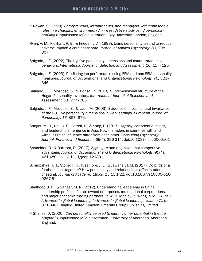- \* Rowan, S. (1999). *Entrepreneurs, intrapreneurs, and managers. Interchangeable roles in a changing environment? An investigative study using personality profiling* (Unpublished MSc disertation). City University, London, England.
- Ryan, A. M., Ployhart, R. E., & Friedel, L. A. (1998). Using personality testing to reduce adverse impact: A cautionary note. *Journal of Applied Psychology, 83*, 298– 307.
- Salgado, J. F. (2002). The big five personality dimensions and counterproductive behaviors. *International Journal of Selection and Assessment, 10,* 117–125.
- Salgado, J. F. (2003). Predicting job performance using FFM and non-FFM personality measures. *Journal of Occupational and Organizational Psychology, 76,* 323– 346.
- Salgado, J. F., Moscoso, S., & Alonso, P. (2013). Subdimensional structure of the Hogan Personality Inventory. *International Journal of Selection and Assessment, 21,* 277–285.
- Salgado, J. F., Moscoso, S., & Lado, M. (2003). Evidence of cross-cultural invariance of the Big Five personality dimensions in work settings. *European Journal of Personality*, *17*, S67–S76.
- Sanger, M. R., Nei, D. S., Ferrell, B., & Yang, F. (2017). Agency, conscientiousness, and leadership emergence in Asia: How managers in countries with and without British influence differ from each other. *Consulting Psychology Journal: Practice and Research, 69*(4)*,* 296-314. doi:10.1037/ cpb0000101
- Schneider, B., & Bartram, D. (2017). Aggregate and organizational competitive advantage. *Journal of Occupational and Organizational Psychology, 90*(4)*,* 461-480. doi:10.1111/joop.12180
- Scrimpshire, A. J., Stone, T. H., Kisamore, J. L., & Jawahar, I. M. (2017). Do birds of a feather cheat together? How personality and relationships affect student cheating. *Journal of Academic Ethics, 15*(1)*,* 1-22. doi:10.1007/s10805-016- 9267-5
- Shalhoop, J. H., & Sanger, M. R. (2012). Understanding leadership in China: Leadership profiles of state-owned enterprises, multinational corporations, and major economic trading partners. In W. H. Mobley, Y. Wang, & M. Li (Eds.), *Advances in global leadership (advances in global leadership, volume 7)*. (pp. 321-348). Bingley, United Kingdon: Emerald Group Publishing Limited.
- \* Shanks, D. (2000). *Can personality be used to identify other potential in the fire brigade?* (Unpublished MSc dissertation). University of Aberdeen, Aberdeen, England.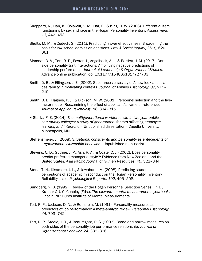- Sheppard, R., Han, K., Colarelli, S. M., Dai, G., & King, D. W. (2006). Differential item functioning by sex and race in the Hogan Personality Inventory. *Assessment, 13,* 442–453.
- Shultz, M. M., & Zedeck, S. (2011). Predicting lawyer effectiveness: Broadening the basis for law school admission decisions. *Law & Social Inquiry*, *36(*3), 620- 661.
- Simonet, D. V., Tett, R. P., Foster, J., Angelback, A. I., & Bartlett, J. M. (2017). Darkside personality trait interactions: Amplifying negative predictions of leadership performance. *Journal of Leadership & Organizational Studies*. Advance online publication. doi:10.1177/1548051817727703
- Smith, D. B., & Ellingson, J. E. (2002). Substance versus style: A new look at social desirability in motivating contexts. *Journal of Applied Psychology, 87*, 211– 219.
- Smith, D. B., Hagnes, P. J., & Dickson, M. W. (2001). Personnel selection and the fivefactor model: Reexamining the effect of applicant's frame of reference. *Journal of Applied Psychology, 86*, 304–315.
- \* Starks, F. E. (2014). *The multigenerational workforce within two-year public community colleges: A study of generational factors affecting employee learning and interaction* (Unpublished dissertation). Capella University, Minneapolis, MN.
- Steffensmeier, J. (2008). *Situational constraints and personality as antecedents of organizational citizenship behaviors*. Unpublished manuscript.
- Stevens, C. D., Guthrie, J. P., Ash, R. A., & Coate, C. J. (2002). Does personality predict preferred managerial style?: Evidence from New Zealand and the United States. *Asia Pacific Journal of Human Resources, 40*, 322–344.
- Stone, T. H., Kisamore, J. L., & Jawahar, I. M. (2008). Predicting students' perceptions of academic misconduct on the Hogan Personality Inventory Reliability scale. *Psychological Reports, 102*, 495–508.
- Sundberg, N. D. (1992). [Review of the Hogan Personnel Selection Series]. In J. J. Kramer & J. C. Conoley (Eds.), *The eleventh mental measurements yearbook*. Lincoln, NE: Buros Institute of Mental Measurements.
- Tett, R. P., Jackson, D. N., & Rothstein, M. (1991). Personality measures as predictors of job performance: A meta-analytic review. *Personnel Psychology, 44,* 703–742.
- Tett, R. P., Steele, J. R., & Beauregard, R. S. (2003). Broad and narrow measures on both sides of the personality-job performance relationship. *Journal of Organizational Behavior, 24*, 335–356.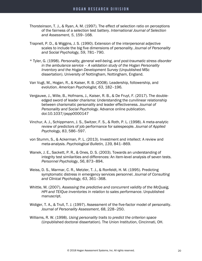- Thorsteinson, T. J., & Ryan, A. M. (1997). The effect of selection ratio on perceptions of the fairness of a selection test battery. *International Journal of Selection and Assessment, 5*, 159–168.
- Trapnell, P. D., & Wiggins, J. S. (1990). Extension of the interpersonal adjective scales to include the big five dimensions of personality. *Journal of Personality and Social Psychology, 59*, 781–790.
- \* Tyler, G. (1998). *Personality, general well-being, and post-traumatic stress disorder in the ambulance service – A validation study of the Hogan Personality Inventory and the Hogan Development Survey* (Unpublished MSc dissertation). University of Nottingham, Nottingham, England.
- Van Vugt, M., Hogan, R., & Kaiser, R. B. (2008). Leadership, followership, and evolution. *American Psychologist, 63*, 182–196.
- Vergauwe, J., Wille, B., Hofmans, J., Kaiser, R. B., & De Fruyt, F. (2017). The doubleedged sword of leader charisma: Understanding the curvilinear relationship between charismatic personality and leader effectiveness. *Journal of Personality and Social Psychology.* Advance online publication. doi:10.1037/pspp0000147
- Vinchur, A. J., Schippmann, J. S., Switzer, F. S., & Roth, P. L. (1998). A meta-analytic review of predictors of job performance for salespeople. *Journal of Applied Psychology, 83*, 586–597.
- von Stumm, S., & Ackerman, P. L. (2013). Investment and intellect: A review and meta-analysis. *Psychological Bulletin, 139,* 841–869.
- Wanek, J. E., Sackett, P. R., & Ones, D. S. (2003). Towards an understanding of integrity test similarities and differences: An item-level analysis of seven tests. *Personnel Psychology*, *56*, 873–894.
- Weiss, D. S., Marmar, C. R., Metzler, T. J., & Ronfeldt, H. M. (1995). Predicting symptomatic distress in emergency services personnel. *Journal of Consulting and Clinical Psychology, 63*, 361–368.
- Whittle, M. (2007). *Assessing the predictive and concurrent validity of the McQuaig, HPI and TEIQue inventories in relation to sales performance*. Unpublished manuscript.
- Widiger, T. A., & Trull, T. J. (1997). Assessment of the five-factor model of personality. *Journal of Personality Assessment*, *68*, 228–250.
- Williams, R. W. (1998). *Using personality traits to predict the criterion space*  (Unpublished doctoral dissertation). The Union Institution, Cincinnati, OH.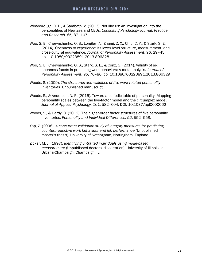- Winsborough, D. L., & Sambath, V. (2013). Not like us: An investigation into the personalities of New Zealand CEOs. *Consulting Psychology Journal: Practice and Research, 65,* 87–107.
- Woo, S. E., Cherynshenko, O. S., Longley, A., Zhang, Z. X., Chiu, C. Y., & Stark, S. E. (2014). Openness to experience: Its lower level structure, measurement, and cross-cultural equivalence. *Journal of Personality Assessment*, *96*, 29–45. doi: 10.1080/00223891.2013.806328
- Woo, S. E., Cherynshenko, O. S., Stark, S. E., & Conz, G. (2014). Validity of six openness facets in predicting work behaviors: A meta-analysis. *Journal of Personality Assessment*, *96*, 76–86. doi:10.1080/00223891.2013.806329
- Woods, S. (2009). *The structures and validities of five work-related personality inventories.* Unpublished manuscript.
- Woods, S., & Anderson, N. R. (2016). Toward a periodic table of personality. Mapping personality scales between the five-factor model and the circumplex model. *Journal of Applied Psychology, 101*, 582–604. DOI: 10.1037/apl0000062
- Woods, S., & Hardy, C. (2012). The higher-order factor structures of five personality inventories. *Personality and Individual Differences, 52*, 552–558.
- Yap, Z. (2008). *A concurrent validation study of integrity measures for predicting counterproductive work behaviour and job performance* (Unpublished master's thesis). University of Nottingham, Nottingham, England.
- Zickar, M. J. (1997). *Identifying untraited individuals using mode-based measurement* (Unpublished doctoral dissertation). University of Illinois at Urbana-Champaign, Champaign, IL.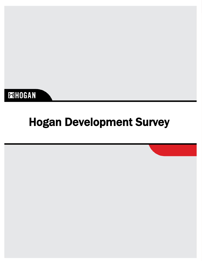

# Hogan Development Survey

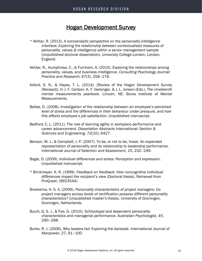#### Hogan Development Survey

- <span id="page-22-0"></span>\* Akhtar, R. (2013). *A socioanalytic perspective on the personality-intelligence interface: Exploring the relationship between contextualised measures of personality, values & intelligence within a senior management sample* (Unpublished doctoral dissertation). University College-London, London, England.
- Akhtar, R., Humphreys, C., & Furnham, A. (2015). Exploring the relationships among personality, values, and business intelligence. *Consulting Psychology Journal: Practice and Research*, *67*(3), 258–276.
- Axford, S. N., & Hayes, T. L. (2014). [Review of the Hogan Development Survey (Revised)]. In J. F. Carlson, K. F. Geisinger, & J. L. Jonson (Eds.), *The nineteenth mental measurements yearbook*. Lincoln, NE: Buros Institute of Mental Measurements.
- Baltas, D. (2008). *Investigation of the relationship between an employee's perceived level of stress and the differences in their behaviour under pressure, and how this affects employee's job satisfaction*. Unpublished manuscript.
- Bedford, C. L. (2011). The role of learning agility in workplace performance and career advancement. *Dissertation Abstracts International: Section B. Sciences and Engineering*, *72*(10), 6427.
- Benson, M. J., & Campbell, J. P. (2007). To be, or not to be, linear: An expanded representation of personality and its relationship to leadership performance. *International Journal of Selection and Assessment, 15*, 232–249.
- Bogle, D. (2009). *Individual differences and stress: Perception and expression*. Unpublished manuscript.
- \* Brinkmeyer, K. R. (1999). *Feedback on feedback: How noncognitive individual differences impact the recipient's view* (Doctoral thesis). Retrieved from ProQuest. (9923544)
- Broekema, H. S. A. (2009). *Personality characteristics of project managers: Do project managers across levels of certification possess different personality characteristics?* (Unpublished master's thesis). University of Groningen, Groningen, Netherlands.
- Burch, G. S. J., & Foo, G. (2010). Schitzotypal and dependent personality characteristics and managerial performance. *Australian Psychologist, 45*, 290–298.
- Burke, R. J. (2006). Why leaders fail: Exploring the darkside. *International Journal of Manpower, 27,* 91–100.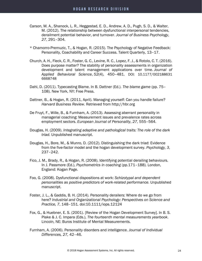- Carson, M. A., Shanock, L. R., Heggestad, E. D., Andrew, A. D., Pugh, S. D., & Walter, M. (2012). The relationship between dysfunctional interpersonal tendencies, derailment potential behavior, and turnover. *Journal of Business Psychology*, *27*, 291–304.
- \* Chamorro-Premuzic, T., & Hogan, R. (2015). The Psychology of Negative Feedback: Personality, Coachability and Career Success. Talent Quarterly, 13–17.
- Church, A. H., Fleck, C. R., Foster, G. C., Levine, R. C., Lopez, F. J., & Rotolo, C. T. (2016). Does purpose matter? The stability of personality assessments in organization development and talent management applications over time. *Journal of Applied Behavioral Science*, *52*(4), 450–481. DOI: 10.1177/002188631 6668748
- Dahl, D. (2011). Typecasting Blame. In B. Dattner (Ed.). *The blame game* (pp. 75– 108). New York, NY: Free Press.
- Dattner, B., & Hogan, R. (2011, April). Managing yourself: Can you handle failure? *Harvard Business Review*. Retrieved from http://hbr.org
- De Fruyt, F., Wille, B., & Furnham, A. (2013). Assessing aberrant personality in managerial coaching: Measurement issues and prevalence rates across employment sectors. *European Journal of Personality*, *27*, 555–564.
- Douglas, H. (2009). *Integrating adaptive and pathological traits: The role of the dark triad*. Unpublished manuscript.
- Douglas, H., Bore, M., & Munro, D. (2012). Distinguishing the dark triad: Evidence from the five-factor model and the hogan development survey. *Psychology, 3*, 237–242.
- Fico, J. M., Brady, R., & Hogan, R. (2008). Identifying potential derailing behaviours. In J. Passmore (Ed.), *Psychometrics in coaching* (pp.171–188). London, England: Kogan Page.
- Foo, G. (2008). Dysfunctional dispositions at work: *Schizotypal and dependent personalities as positive predictors of work-related performance*. Unpublished manuscript.
- Foster, J. L., & Gaddis, B. H. (2014). Personality derailers: Where do we go from here? *Industrial and Organizational Psychology: Perspectives on Science and Practice, 7*, 148–151*.* doi:10.1111/iops.12124
- Fox, G., & Huebner, E. S. (2001). [Review of the Hogan Development Survey]. In B. S. Plake & J. C. Impara (Eds.), *The fourteenth mental measurements yearbook*. Lincoln, NE: Buros Institute of Mental Measurements.
- Furnham, A. (2006). Personality disorders and intelligence. *Journal of Individual Differences, 27,* 42–46.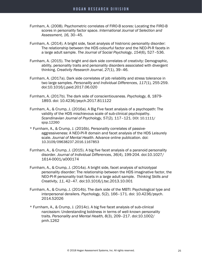- Furnham, A. (2008). Psychometric correlates of FIRO-B scores: Locating the FIRO-B scores in personality factor space. *International Journal of Selection and Assessment, 16,* 30–45.
- Furnham, A. (2014). A bright side, facet analysis of histrionic personality disorder: The relationship between the HDS colourful factor and the NEO-PI-R facets in a large adult sample. *The Journal of Social Psychology*, *154*(6)*,* 527–536.
- Furnham, A. (2015). The bright and dark side correlates of creativity: Demographic, ability, personality traits and personality disorders associated with divergent thinking. *Creativity Research Journal*, *27*(1), 39–46.
- Furnham, A. (2017a). Dark side correlates of job reliability and stress tolerance in two large samples. *Personality and Individual Differences*, *117*(1)*,* 255-259. doi:10.1016/j.paid.2017.06.020
- Furnham, A. (2017b). The dark side of conscientiousness. *Psychology, 8,* 1879- 1893. doi: 10.4236/psych.2017.811122
- Furnham, A., & Crump, J. (2016a). A Big Five facet analysis of a psychopath: The validity of the HDS mischievous scale of sub-clinical psychopathy. *Scandinavian Journal of Psychology, 57(2),* 117–121*.* DOI: 10.1111/ sjop.12260
- \* Furnham, A., & Crump, J. (2016b). Personality correlates of passiveaggressiveness: A NEO-PI-R domain and facet analysis of the HDS Leisurely scale. *Journal of Mental Health*. Advance online publication. doi: [10.3109/09638237.2016.1167853](https://dx.doi.org/10.3109/09638237.2016.1167853)
- Furnham, A., & Crump, J. (2015). A big five facet analysis of a paranoid personality disorder. *Journal of Individual Differences*, *36*(4), 199-204. doi:10.1027/ 1614-0001/a000174
- Furnham, A., & Crump, J. (2014a). A bright side, facet analysis of schizotypal personality disorder: The relationship between the HDS imaginative factor, the NEO-PI-R personality trait facets in a large adult sample. *Thinking Skills and Creativity, 11*, 42–47. doi:10.1016/j.tsc.2013.10.001
- Furnham, A., & Crump, J. (2014b). The dark side of the MBTI: Psychological type and interpersonal derailers. *Psychology, 5*(2), 166–171. doi: 10.4236/psych. 2014.52026
- \* Furnham, A., & Crump, J. (2014c). A big five facet analysis of sub‐clinical narcissism: Understanding boldness in terms of well‐known personality traits. *Personality and Mental Health, 8*(3), 209–217. doi:10.1002/ pmh.1262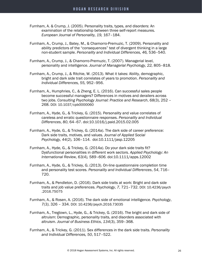- Furnham, A. & Crump, J. (2005). Personality traits, types, and disorders: An examination of the relationship between three self-report measures. *European Journal of Personality, 19,* 167–184.
- Furnham, A., Crump, J., Batey, M., & Chamorro-Premuzic, T. (2009). Personality and ability predictors of the "consequences" test of divergent thinking in a large non-student sample. *Personality and Individual Differences, 46,* 536–540.
- Furnham, A., Crump, J., & Chamorro-Premuzic, T. (2007). Managerial level, personality and intelligence. *Journal of Managerial Psychology, 22,* 805–818.
- Furnham, A., Crump, J., & Ritchie, W. (2013). What it takes: Ability, demographic, bright and dark side trait correlates of years to promotion. *Personality and Individual Differences, 55,* 952–956.
- Furnham, A., Humphries, C., & Zheng, E. L. (2016). Can successful sales people become successful managers? Differences in motives and derailers across two jobs. *Consulting Psychology Journal: Practice and Research*, *68*(3), 252 – 268. DOI: 10.1037/cpb0000060
- Furnham, A., Hyde, G., & Trickey, G. (2015). Personality and value correlates of careless and erratic questionnaire responses. *Personality and Individual Differences*, *80*, 64–67. doi:10.1016/j.paid.2015.02.005
- Furnham, A., Hyde, G., & Trickey, G. (2014a). The dark side of career preference: Dark side traits, motives, and values. *Journal of Applied Social Psychology, 44*(2), 106–114. doi:10.1111/jasp.12205
- Furnham, A., Hyde, G., & Trickey, G. (2014a). Do your dark side traits fit? Dysfunctional personalities in different work sectors. *Applied Psychology: An International Review, 63(4), 589*–*606.* doi:10.1111/apps.12002
- Furnham, A., Hyde, G., & Trickey, G. (2013). On-line questionnaire completion time and personality test scores. *Personality and Individual Differences*, *54*, 716– 720.
- Furnham, A., & Pendleton, D. (2016). Dark side traits at work: Bright and dark side traits and job value preferences. *Psychology*, *7*, 721–732. DOI: [10.4236/psych](http://dx.doi.org/10.4236/psych.2016.75075) [.2016.75075](http://dx.doi.org/10.4236/psych.2016.75075)
- Furnham, A., & Rosen, A. (2016). The dark side of emotional intelligence. *Psychology*, *7(3)*, 326 – 334. DOI: [10.4236/psych.2016.73035](http://dx.doi.org/10.4236/psych.2016.73035)
- Furnham, A., Treglown, L., Hyde, G., & Trickey, G. (2016). The bright and dark side of altruism: Demographic, personality traits, and disorders associated with altruism. *Journal of Business Ethics*, *134*(3), 359–368.
- Furnham, A., & Trickey, G. (2011). Sex differences in the dark side traits. *Personality and Individual Differences, 50*, 517–522.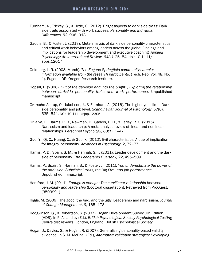- Furnham, A., Trickey, G., & Hyde, G. (2012). Bright aspects to dark side traits: Dark side traits associated with work success. *Personality and Individual Differences, 52*, 908–913.
- Gaddis, B., & Foster, J. (2013). Meta-analysis of dark side personality characteristics and critical work behaviors among leaders across the globe: Findings and implications for leadership development and executive coaching. *Applied Psychology: An International Review, 64(1),* 25–54. doi: 10.1111/ apps.12017
- Goldberg, L. R. (2008, March). *The Eugene-Springfield community sample: Information available from the research participants*. (Tech. Rep. Vol. 48, No. 1). Eugene, OR: Oregon Research Institute.
- Gopsill, L. (2008). *Out of the darkside and into the bright?; Exploring the relationship between darkside personality traits and work performance*. Unpublished manuscript.
- Gøtzsche‐Astrup, O., Jakobsen, J., & Furnham, A. (2016). The higher you climb: Dark side personality and job level. *Scandinavian Journal of Psychology*, *57*(6), 535–541. DOI: 10.1111/sjop.12305
- Grijalva, E., Harms, P. D., Newman, D., Gaddis, B. H., & Farley, R. C. (2015). Narcissism and leadership: A meta-analytic review of linear and nonlinear relationships. *Personnel Psychology, 68(1),* 1–47.
- Guo, Y., Qi, C., Huang, C., & Guo, X. (2012). Evil characteristics: A due of implication for integral personality. *Advances in Psychology*, *2*, 72–77.
- Harms, P. D., Spain, S. M., & Hannah, S. T. (2011). Leader development and the dark side of personality. *The Leadership Quarterly, 22*, 495–509.
- Harms, P., Spain, S., Hannah, S., & Foster, J. (2011). *You underestimate the power of the dark side: Subclinical traits, the Big Five, and job performance.*  Unpublished manuscript.
- Hereford, J. M. (2011). *Enough is enough: The curvilinear relationship between personality and leadership* (Doctoral dissertation). Retrieved from ProQuest. (3503991)
- Higgs, M. (2009). The good, the bad, and the ugly: Leadership and narcissism. *Journal of Change Management, 9,* 165–178.
- Hodgkinson, G., & Robertson, S. (2007). Hogan Development Survey (UK Edition) (HDS). In P. A. Lindley (Ed.), *British Psychological Society Psychological Testing Centre test reviews.* London, England: British Psychological Society.
- Hogan, J., Davies, S., & Hogan, R. (2007). Generalizing personality-based validity evidence. In S. M. McPhail (Ed.), *Alternative validation strategies: Developing*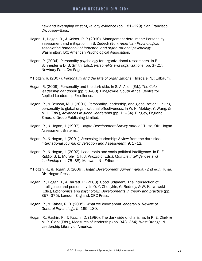*new and* leveraging existing validity evidence (pp. 181–229). San Francisco, CA: Jossey-Bass.

- Hogan, J., Hogan, R., & Kaiser, R. B (2010). Management derailment: Personality assessment and mitigation. In S. Zedeck (Ed.), *American Psychological Association handbook of industrial and organizational psychology*. Washington, DC: American Psychological Association.
- Hogan, R. (2004). Personality psychology for organizational researchers. In B. Schneider & D. B. Smith (Eds.), *Personality and organizations* (pp. 3–21). Newbury Park, CA: Sage.
- \* Hogan, R. (2007). *Personality and the fate of organizations*. Hillsdale, NJ: Erlbaum.
- Hogan, R. (2009). Personality and the dark side. In S. A. Allen (Ed.), *The Cale leadership handbook* (pp. 50–60). Pinegowrie, South Africa: Centre for Applied Leadership Excellence.
- Hogan, R., & Benson, M. J. (2009). Personality, leadership, and globalization: Linking personality to global organizational effectiveness. In W. H. Mobley, Y. Wang, & M. Li (Eds.), *Advances in global leadership* (pp. 11–34). Bingley, England: Emerald Group Publishing Limited.
- Hogan, R., & Hogan, J. (1997). *Hogan Development Survey manual*. Tulsa, OK: Hogan Assessment Systems.
- Hogan, R., & Hogan, J. (2001). Assessing leadership: A view from the dark side. *International Journal of Selection and Assessment, 9*, 1–12.
- Hogan, R., & Hogan, J. (2002). Leadership and socio-political intelligence. In R. E. Riggio, S. E. Murphy, & F. J. Pirozzolo (Eds.), *Multiple intelligences and leadership* (pp. 75–88). Mahwah, NJ: Erlbaum.
- \* Hogan, R., & Hogan, J. (2009). *Hogan Development Survey manual* (2nd ed.). Tulsa, OK: Hogan Press.
- Hogan, R., Hogan, J., & Barrett, P. (2008). Good judgment: The intersection of intelligence and personality. In O. Y. Chebykin, G. Bedney, & W. Karwowski (Eds.), *Ergonomics and psychology: Developments in theory and practice* (pp. 357–375). London, England: CRC Press.
- Hogan, R., & Kaiser, R. B. (2005). What we know about leadership. *Review of General Psychology*, *9*, 169–180.
- Hogan, R., Raskin, R., & Fazzini, D. (1990). The dark side of charisma. In K. E. Clark & M. B. Clark (Eds.), Measures of leadership (pp. 343–354). West Orange, NJ: Leadership Library of America.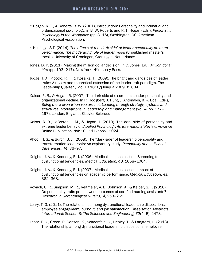- \* Hogan, R. T., & Roberts, B. W. (2001), Introduction: Personality and industrial and organizational psychology, in B. W. Roberts and R. T. Hogan (Eds.), *Personality Psychology in the Workplace* (pp. 3–16), Washington, DC: American Psychological Association.
- \* Huisinga, S.T. (2014). *The effects of the 'dark side' of leader personality on team performance: The moderating role of leader mood* (Unpublished master's thesis). University of Groningen, Groningen, Netherlands.
- Jones, D. P. (2011). Making the million dollar decision. In D. Jones (Ed.), *Million dollar hire* (pp. 193–217). New York, NY: Jossey-Bass.
- Judge, T. A., Piccolo, R. F., & Kosalka, T. (2009). The bright and dark sides of leader traits: A review and theoretical extension of the leader trait paradigm. The Leadership Quarterly, doi:10.1016/j.leaqua.2009.09.004
- Kaiser, R. B., & Hogan, R. (2007). The dark side of discretion: Leader personality and organizational decline. In R. Hooijberg, J. Hunt, J. Antonakis, & K. Boal (Eds.), *Being there even when you are not: Leading through strategy, systems and structures. Monographs in leadership and management* (Vol. 4, pp. 177– 197). London, England: Elsevier Science.
- Kaiser, R. B., LeBreton, J. M., & Hogan, J. (2013). The dark side of personality and extreme leader behavior. *Applied Psychology: An International Review*. Advance Online Publication. doi: 10.1111/apps.12024
- Khoo., H. S., & Burch, G. J. (2008). The "dark side" of leadership personality and transformation leadership: An exploratory study. *Personality and Individual Differences, 44*, 86–97.
- Knights, J. A., & Kennedy, B. J. (2006). Medical school selection: Screening for dysfunctional tendencies. *Medical Education, 40,* 1058–1064.
- Knights, J. A., & Kennedy, B. J. (2007). Medical school selection: Impact of dysfunctional tendencies on academic performance. *Medical Education*, *41,* 362–368.
- Kovach, C. R., Simpson, M. R., Reitmaier, A. B., Johnson, A., & Kelber, S. T. (2010). Do personality traits predict work outcomes of certified nursing assistants? *Research in Gerontological Nursing, 4*, 253–261.
- Leary, T. G. (2011). The relationship among dysfunctional leadership dispositions, employee engagement, burnout, and job satisfaction. *Dissertation Abstracts International: Section B: The Sciences and Engineering, 72*(4–B), 2473.
- Leary, T. G., Green, R. Denson, K., Schoenfeld, G., Henley, T., & Langford, H. (2013). The relationship among dysfunctional leadership dispositions, employee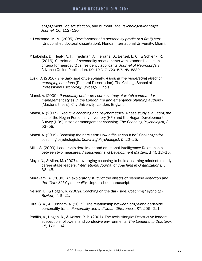engagement, job satisfaction, and burnout. *The Psychologist-Manager Journal, 16,* 112–130.

- \* Leckband, M. M. (2005). *Development of a personality profile of a firefighter* (Unpublished doctoral dissertation). Florida International University, Miami, FL.
- \* Lubelski, D., Healy, A. T., Friedman, A., Ferraris, D., Benzel, E. C., & Schlenk, R. (2016). Correlation of personality assessments with standard selection criteria for neurosurgical residency applicants. *Journal of Neurosurgery*. Advance Online Publication. DOI[:10.3171/2015.7.JNS15880](https://dx.doi.org/10.3171/2015.7.JNS15880)
- Lusk, D. (2016). *The dark side of personality: A look at the moderating effect of managing emotions* (Doctoral Dissertation). The Chicago School of Professional Psychology, Chicago, Illinois.
- Mansi, A. (2000). *Personality under pressure: A study of watch commander management styles in the London fire and emergency planning authority*  (Master's thesis). City University, London, England.
- Mansi, A. (2007). Executive coaching and psychometrics: A case study evaluating the use of the Hogan Personality Inventory (HPI) and the Hogan Development Survey (HDS) in senior management coaching. *The Coaching Psychologist, 3*, 53–58.
- Mansi, A. (2009). Coaching the narcissist: How difficult can it be? Challenges for coaching psychologists. *Coaching Psychologist, 5*, 22–25.
- Mills, S. (2009). Leadership derailment and emotional intelligence: Relationships between two measures. *Assessment and Development Matters, 1*(4), 12–15.
- Moye, N., & Allen, M. (2007). Leveraging coaching to build a learning mindset in early career stage leaders. *International Journal of Coaching in Organizations, 5*, 36–45.
- Murakami, A. (2008). *An exploratory study of the effects of response distortion and the "Dark Side" personality*. Unpublished manuscript.
- Nelson, E., & Hogan, R. (2009). Coaching on the dark side. *Coaching Psychology Review, 4,* 9–21.
- Oluf, G. A., & Furnham, A. (2015). The relationship between bright-and dark-side personality traits. *Personality and Individual Differences*, *87*, 206–211.
- Padilla, A., Hogan, R., & Kaiser, R. B. (2007). The toxic triangle: Destructive leaders, susceptible followers, and conducive environments. *The Leadership Quarterly, 18,* 176–194.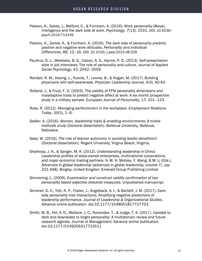- Palaiou, K., Sykes, J., Welford, C., & Furnham, A. (2016). Work personality (Wave), intelligence and the dark side at work. *Psychology*, *7*(13), 1531. DOI: [10.4236/](http://dx.doi.org/10.4236/psych.2016.713149) [psych.2016.713149](http://dx.doi.org/10.4236/psych.2016.713149)
- Palaiou, K., Zarola, A., & Furnham, A. (2016). The dark side of personality predicts positive and negative work attitudes. *Personality and Individual Differences*, *88*, 12–16. DOI: 10.1016/ j.paid.2015.08.029
- Paulhus, D. L., Westlake, B. G., Calvez, S. S., Harms, P. D. (2013). Self-presentation style in job interviews: The role of personality and culture. *Journal of Applied Social Psychology, 43*, 2042–2059.
- Randall, R. M., Kwong, L., Kuivila, T., Levine, B., & Kogan, M. (2017). Building physicians with self-awareness*. Physician Leadership Journal, 4*(3)*,* 40-44.
- Rolland, J., & Fruyt, F. D. (2003). The validity of FFM personality dimensions and maladaptive traits to predict negative affect at work: A six month prospective study in a military sample. *European Journal of Personality, 17,* 101–123.
- Ross, R. (2012). Managing perfectionism in the workplace. *Employment Relations Today*, *39*(3), 1–6.
- Sadler, A. (2016). *Women, leadership traits & enabling environments: A mixed methods study* (Doctoral dissertation). Bellevue University, Bellevue, Nebraska.
- Sass, W. (2016). *The role of learner autonomy in avoiding leader derailment*  (Doctoral dissertation). Regent University, Virgina Beach, Virginia.
- Shalhoop, J. H., & Sanger, M. R. (2012). Understanding leadership in China: Leadership profiles of state-owned enterprises, multinational corporations, and major economic trading partners. In W. H. Mobley, Y. Wang, & M. Li (Eds.), *Advances in global leadership (advances in global leadership, volume 7)*. (pp. 321-348). Bingley, United Kingdon: Emerald Group Publishing Limited.
- Simmering, L. (2009). *Examination and construct validity confirmation of two personality based adjective checklist measures.* Unpublished manuscript.
- Simonet, D. V., Tett, R. P., Foster, J., Angelback, A. I., & Bartlett, J. M. (2017). Darkside personality trait interactions: Amplifying negative predictions of leadership performance. *Journal of Leadership & Organizational Studies*. Advance online publication. doi:10.1177/1548051817727703
- Smith, M. B., Hill, A. D., Wallace, J. C., Recendes, T., & Judge, T. A. (2017). Upsides to dark and downsides to bright personality: A multidomain review and future research agenda. *Journal of Management.* Advance online publication. doi:10.1177/0149206317733511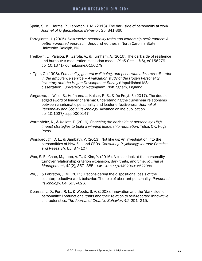- Spain, S. M., Harms, P., Lebreton, J. M. (2013). The dark side of personality at work. *Journal of Organizational Behavior, 35*, S41-S60.
- Torregiante, J. (2005). *Destructive personality traits and leadership performance: A pattern-oriented approach.* Unpublished thesis, North Carolina State University, Raleigh, NC.
- Treglown, L., Palaiou, K., Zarola, A., & Furnham, A. (2016). The dark side of resilience and burnout: A moderation-mediation model. *PLoS One*, *11*(6), e0156279. doi:10.1371/journal.pone.0156279
- \* Tyler, G. (1998). *Personality, general well-being, and post-traumatic stress disorder in the ambulance service – A validation study of the Hogan Personality Inventory and the Hogan Development Survey* (Unpublished MSc dissertation). University of Nottingham, Nottingham, England.
- Vergauwe, J., Wille, B., Hofmans, J., Kaiser, R. B., & De Fruyt, F. (2017). The doubleedged sword of leader charisma: Understanding the curvilinear relationship between charismatic personality and leader effectiveness. *Journal of Personality and Social Psychology.* Advance online publication. doi:10.1037/pspp0000147
- Warrenfeltz, R., & Kellett, T. (2016). *Coaching the dark side of personality: High impact strategies to build a winning leadership reputation*. Tulsa, OK: Hogan Press.
- Winsborough, D. L., & Sambath, V. (2013). Not like us: An investigation into the personalities of New Zealand CEOs. *Consulting Psychology Journal: Practice and Research, 65,* 87–107.
- Woo, S. E., Chae, M., Jebb, A. T., & Kim, Y. (2016). A closer look at the personalityturnover relationship criterion expansion, dark traits, and time. *Journal of Management*, *42*(2), 357–385. DOI: 10.1177/0149206315622985
- Wu, J., & Lebreton, J. M. (2011). Reconsidering the dispositional basis of the counterproductive work behavior: The role of aberrant personality. *Personnel Psychology, 64,* 593–626.
- Zibarras, L. D., Port, R. L., & Woods, S. A. (2008). Innovation and the 'dark side' of personality: Dysfunctional traits and their relation to self-reported innovative characteristics. *The Journal of Creative Behavior, 42,* 201–215.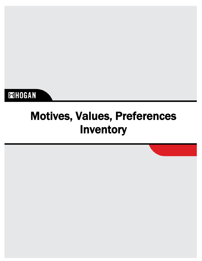

# Motives, Values, Preferences **Inventory**

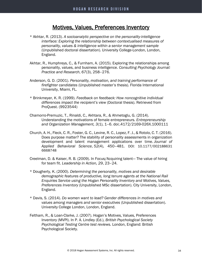#### Motives, Values, Preferences Inventory

- <span id="page-33-0"></span>\* Akhtar, R. (2013). *A socioanalytic perspective on the personality-intelligence interface: Exploring the relationship between contextualised measures of personality, values & intelligence within a senior management sample* (Unpublished doctoral dissertation). University College-London, London, England.
- Akhtar, R., Humphreys, C., & Furnham, A. (2015). Exploring the relationships among personality, values, and business intelligence. *Consulting Psychology Journal: Practice and Research*, *67*(3), 258–276.
- Anderson, G. D. (2001). *Personality, motivation, and training performance of firefighter candidates* (Unpublished master's thesis). Florida International University, Miami, FL.
- \* Brinkmeyer, K. R. (1999). *Feedback on feedback: How noncognitive individual differences impact the recipient's view* (Doctoral thesis). Retrieved from ProQuest. (9923544)
- Chamorro-Premuzic, T., Rinaldi, C., Akhtara, R., & Ahmetoglu, G. (2014). Understanding the motivations of female entrepreneurs. *Entrepreneurship and Organization Management, 3*(1), 1–6. doi:.4172/2169-026X.1000111
- Church, A. H., Fleck, C. R., Foster, G. C., Levine, R. C., Lopez, F. J., & Rotolo, C. T. (2016). Does purpose matter? The stability of personality assessments in organization development and talent management applications over time. *Journal of Applied Behavioral Science*, *52*(4), 450–481. DOI: 10.1177/002188631 6668748
- Creelman, D. & Kaiser, R. B. (2009). In Focus/Acquiring talent— The value of hiring for team fit. *Leadership in Action, 29*, 23–24.
- \* Dougherty, K. (2000). *Determining the personality, motives and desirable demographic features of productive, long tenure agents at the National Rail Enquiries Service using the Hogan Personality Inventory and Motives, Values, Preferences Inventory* (Unpublished MSc dissertation). City University, London, England.
- \* Davis, S. (2014). *Do women want to lead? Gender differences in motives and values among managers and senior executives* (Unpublished dissertation). University College London, London, England.
- Feltham, R., & Loan-Clarke, J. (2007). Hogan's Motives, Values, Preferences Inventory (MVPI). In P. A. Lindley (Ed.), *British Psychological Society Psychological Testing Centre test reviews.* London, England: British Psychological Society.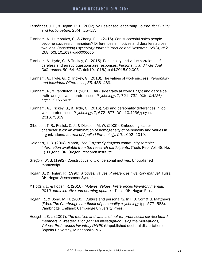- Fernández, J. E., & Hogan, R. T. (2002). Values-based leadership. *Journal for Quality and Participation, 25*(4), 25–27.
- Furnham, A., Humphries, C., & Zheng, E. L. (2016). Can successful sales people become successful managers? Differences in motives and derailers across two jobs. *Consulting Psychology Journal: Practice and Research*, *68*(3), 252 – 268. DOI: 10.1037/cpb0000060
- Furnham, A., Hyde, G., & Trickey, G. (2015). Personality and value correlates of careless and erratic questionnaire responses. *Personality and Individual Differences*, *80*, 64–67. doi:10.1016/j.paid.2015.02.005
- Furnham, A., Hyde, G., & Trickey, G. (2013). The values of work success. *Personality and Individual Differences, 55,* 485–489.
- Furnham, A., & Pendleton, D. (2016). Dark side traits at work: Bright and dark side traits and job value preferences. *Psychology*, *7*, 721–732. DOI: [10.4236/](http://dx.doi.org/10.4236/psych.2016.75075) [psych.2016.75075](http://dx.doi.org/10.4236/psych.2016.75075)
- Furnham, A., Trickey, G., & Hyde, G. (2016). Sex and personality differences in job value preferences. *Psychology*, *7*, 672–677. DOI: [10.4236/psych.](http://dx.doi.org/10.4236/psych.2016.75069) [2016.75069](http://dx.doi.org/10.4236/psych.2016.75069)
- Giberson, T. R., Resick, C. J., & Dickson, M. W. (2005). Embedding leader characteristics: An examination of homogeneity of personality and values in organizations. *Journal of Applied Psychology, 90,* 1002–1010.
- Goldberg, L. R. (2008, March). *The Eugene-Springfield community sample: Information available from the research participants*. (Tech. Rep. Vol. 48, No. 1). Eugene, OR: Oregon Research Institute.
- Gregory, W. S. (1992). Construct validity of personal motives. Unpublished manuscript.
- Hogan, J., & Hogan, R. (1996). *Motives, Values, Preferences Inventory manual.* Tulsa, OK: Hogan Assessment Systems.
- \* Hogan, J., & Hogan, R. (2010). *Motives, Values, Preferences Inventory manual: 2010 administrative and norming updates.* Tulsa, OK: Hogan Press.
- Hogan, R., & Bond, M. H. (2009). Culture and personality. In P. J. Corr & G. Matthews (Eds.), *The Cambridge handbook of personality psychology* (pp. 577–588). Cambridge, England: Cambridge University Press.
- Hoogstra, E. J. (2007). *The motives and values of not-for-profit social service board members in Western Michigan: An investigation using the Motivations, Values, Preferences Inventory (MVPI)* (Unpublished doctoral dissertation). Capella University, Minneapolis, MN.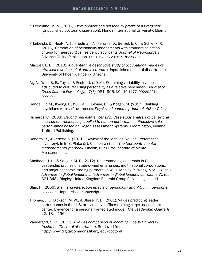- \* Leckband, M. M. (2005). *Development of a personality profile of a firefighter* (Unpublished doctoral dissertation). Florida International University, Miami, FL.
- \* Lubelski, D., Healy, A. T., Friedman, A., Ferraris, D., Benzel, E. C., & Schlenk, R. (2016). Correlation of personality assessments with standard selection criteria for neurosurgical residency applicants. *Journal of Neurosurgery*. Advance Online Publication. DOI[:10.3171/2015.7.JNS15880](https://dx.doi.org/10.3171/2015.7.JNS15880)
- Maxwell, L. D., (2010). *A quantitative descriptive study of occupational values of physicians and hospital administrators* (Unpublished doctoral dissertation). University of Phoenix, Phoenix, Arizona.
- Ng, V., Woo, S. E., Tay, L., & Foster, J. (2016). Examining variability in values attributed to culture: Using personality as a relative benchmark. *Journal of Cross-Cultural Psychology, 47(7),* 981–996. DOI: 10.1177/002202211 6651333
- Randall, R. M., Kwong, L., Kuivila, T., Levine, B., & Kogan, M. (2017). Building physicians with self-awareness*. Physician Leadership Journal, 4*(3)*,* 40-44.
- Richards, C. (2008). *Beyond real estate licensing: Case study analysis of behavioral assessment relationship applied to human performance: Predictive sales performance based on Hogan Assessment Systems.* Bloomington, Indiana: Trafford Publishing.
- Roberts, B., & Zedeck, S. (2001). [Review of the Motives, Values, Preferences Inventory]. In B. S. Plake & J. C. Impara (Eds.), *The fourteenth mental measurements yearbook.* Lincoln, NE: Buros Institute of Mental Measurements.
- Shalhoop, J. H., & Sanger, M. R. (2012). Understanding leadership in China: Leadership profiles of state-owned enterprises, multinational corporations, and major economic trading partners. In W. H. Mobley, Y. Wang, & M. Li (Eds.), *Advances in global leadership (advances in global leadership, volume 7)*. (pp. 321-348). Bingley, United Kingdon: Emerald Group Publishing Limited.
- Shin, H. (2006). *Main and interaction effects of personality and P-O fit in personnel selection*. Unpublished manuscript.
- Thomas, J. L., Dickson, M. W., & Bliese, P. D. (2001). Values predicting leader performance in the U. S. army reserve officer training corps assessment center: Evidence for a personality-mediated model. *The Leadership Quarterly, 12,* 181–196.
- Vandergriff, S. R., (2012). *A values comparison of incoming Liberty University freshmen (Doctoral dissertation)*. Retrieved from http://www.digitalcommons.liberty.edu/doctoral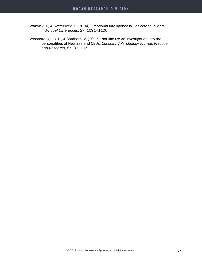- Warwick, J., & Nettelbeck, T. (2004). Emotional intelligence is...? *Personality and Individual Differences*, *37*, 1091–1100.
- Winsborough, D. L., & Sambath, V. (2013). Not like us: An investigation into the personalities of New Zealand CEOs. *Consulting Psychology Journal: Practice and Research*, *65,* 87–107.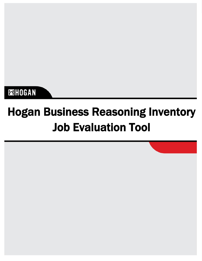

# Hogan Business Reasoning Inventory Job Evaluation Tool

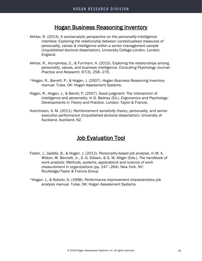#### **Hogan Business Reasoning Inventory**

- <span id="page-38-0"></span>Akhtar, R. (2013). *A socioanalytic perspective on the personality-intelligence interface: Exploring the relationship between contextualised measures of personality, values & intelligence within a senior management sample* (Unpublished doctoral dissertation). University College-London, London, England.
- Akhtar, R., Humphreys, C., & Furnham, A. (2015). Exploring the relationships among personality, values, and business intelligence. *Consulting Psychology Journal: Practice and Research*, 67(3), 258–276.
- \*Hogan, R., Barrett, P., & Hogan, J. (2007). *Hogan Business Reasoning Inventory manual.* Tulsa, OK: Hogan Assessment Systems.
- Hogan, R., Hogan, J., & Barret, P. (2007). Good judgment: The intersection of intelligence and personality. In G. Bedney (Ed.). *Ergonomics and Psychology: Developments in Theory and Practice*. London: Taylor & Francis.
- <span id="page-38-1"></span>Hutchinson, A. M. (2011). *Reinforcement sensitivity theory, personality, and senior executive performance* (Unpublished doctoral dissertation). University of Auckland, Auckland, NZ.

#### Job Evaluation Tool

- Foster, J., Gaddis, B., & Hogan, J. (2012). Personality-based job analysis. In M. A. Wilson, W. Bennett, Jr., S. G. Gibson, & G. M. Alliger (Eds.), *The handbook of work analysis: Methods, systems, applications and science of work measurement in organizations* (pp. 247–264). New York, NY: Routledge/Taylor & Francis Group.
- \*Hogan, J., & Rybicki, S. (1998). *Performance improvement characteristics job analysis manual.* Tulsa, OK: Hogan Assessment Systems.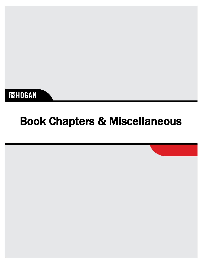<span id="page-39-0"></span>

### Book Chapters & Miscellaneous

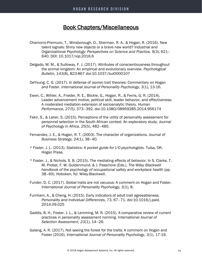#### Book Chapters/Miscellaneous

- Chamorro-Premuzic, T., Winsborough, D., Sherman, R. A., & Hogan, R. (2016). New talent signals: Shiny new objects or a brave new world? *Industrial and Organizational Psychology*: *Perspectives on Science and Practice, 9*(3), 621– 640. DOI: 10.1017/iop.2016.6
- Delgado, M. M., & Sulloway, F. J. (2017). Attributes of conscientiousness throughout the animal kingdom: An empirical and evolutionary overview. *Psychological Bulletin, 143*(8)*,* 823-867 doi:10.1037/bul0000107
- DeYoung, C. G. (2017). In defense of (some) trait theories: Commentary on Hogan and Foster. *International Journal of Personality Psychology, 3*(1)*,* 13-16.
- Ewen, C., Wihler, A., Frieder, R. E., Blickle, G., Hogan, R., & Ferris, G. R. (2014). Leader advancement motive, political skill, leader behavior, and effectiveness: A moderated mediation extension of socioanalytic theory. *Human Performance, 27(5)*, 373–392. doi:10.1080/08959285.2014.956174
- Fakir, S., & Laher, S. (2015). Perceptions of the utility of personality assessment for personnel selection in the South African context: An exploratory study. *Journal of Psychology in Africa*, *25*(5), 482–485.
- Fernandez, J. E., & Hogan, R. T. (2003). The character of organizations. *Journal of Business Strategy, 24*(1), 38–40.
- \* Foster, J. L. (2013). *Statistics: A pocket guide for I/O psychologists*. Tulsa, OK: Hogan Press.
- \* Foster, J., & Nichols, S. B. (2015). The mediating effects of behavior. In S. Clarke, T. M. Probst, F. W. Guldenmund, & J. Passmore (Eds.), *The Wiley Blackwell handbook of the psychology of occupational safety and workplace health* (pp. 38–60). Hoboken, NJ: Wiley-Blackwell.
- Funder, D. C. (2017). Global traits are not vacuous: A comment on Hogan and Foster. *International Journal of Personality Psychology, 3*(1)*,* 8.
- Furnham, A., & Cheng, H. (2015). Early indicators of adult trait agreeableness. *Personality and Individual Differences*, 73, 67–71. doi:10.1016/j.paid. 2014.09.025
- Gaddis, B. H., Foster, J. L., & Lemming, M. R. (2015). A comparative review of current practices in personality assessment norming. *International Journal of Selection Assessment*, *23*(1), 14–26.
- Galang, A. R. (2017). Not seeing the forest for the traits: A comment on Hogan and Foster (2016). *International Journal of Personality Psychology*, *3*(1)*,* 17-19.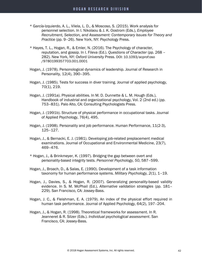- \* García-Izquierdo, A. L., Vilela, L. D., & Moscoso, S. (2015). Work analysis for personnel selection. In I. Nikolaou & J. K. Oostrom (Eds.), *Employee Recruitment, Selection, and Assessment: Contemporary Issues for Theory and Practice* (pp. 9–26). New York, NY: Psychology Press.
- \* Hayes, T. L., Hogan, R., & Emler, N. (2016). The Psychology of character, reputation, and gossip. In I. Fileva (Ed.). *Questions of Character* (pp. 268 – 282). New York, NY: Oxford University Press. DOI: 10.1093/acprof:oso /9780199357703.001.0001
- Hogan, J. (1978). Personological dynamics of leadership. Journal of Research in Personality, 12(4), 390–395.
- Hogan, J. (1985). Tests for success in diver training. Journal of applied psychology, 70(1), 219.
- Hogan, J. (1991a). Physical abilities. In M. D. Dunnette & L. M. Hough (Eds.), Handbook of industrial and organizational psychology, Vol. 2 (2nd ed.) (pp. 753–831). Palo Alto, CA: Consulting Psychologists Press.
- Hogan, J. (1991b). Structure of physical performance in occupational tasks. Journal of Applied Psychology, 76(4), 495.
- Hogan, J. (1998). Personality and job performance. Human Performance, 11(2-3), 125–127.
- Hogan, J., & Bernacki, E. J. (1981). Developing job-related preplacement medical examinations. Journal of Occupational and Environmental Medicine, 23(7), 469–476.
- \* Hogan, J., & Brinkmeyer, K. (1997). Bridging the gap between overt and personality-based integrity tests. *Personnel Psychology, 50*, 587–599.
- Hogan, J., Broach, D., & Salas, E. (1990). Development of a task information taxonomy for human performance systems. *Military Psychology, 2*(1), 1–19.
- Hogan, J., Davies, S., & Hogan, R. (2007). Generalizing personality-based validity evidence. In S. M. McPhail (Ed.), *Alternative validation strategies* (pp. 181– 229). San Francisco, CA: Jossey-Bass.
- Hogan, J. C., & Fleishman, E. A. (1979). An index of the physical effort required in human task performance. Journal of Applied Psychology, 64(2), 197–204.
- Hogan, J., & Hogan, R. (1998). Theoretical frameworks for assessment. In R. Jeanneret & R. Silzer (Eds.). *Individual psychological assessment*. San Francisco, CA: Jossey-Bass.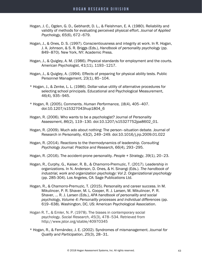- Hogan, J. C., Ogden, G. D., Gebhardt, D. L., & Fleishman, E. A. (1980). Reliability and validity of methods for evaluating perceived physical effort. *Journal of Applied Psychology, 65*(6), 672–679.
- Hogan, J., & Ones, D. S. (1997). Conscientiousness and integrity at work. In R. Hogan, J. A. Johnson, & S. R. Briggs (Eds.), *Handbook of personality psychology* (pp. 849–870). New York, NY: Academic Press.
- Hogan, J., & Quigley, A. M. (1986). Physical standards for employment and the courts. American Psychologist, 41(11), 1193–1217.
- Hogan, J., & Quigley, A. (1994). Effects of preparing for physical ability tests. Public Personnel Management, 23(1), 85–104.
- \* Hogan, J., & Zenke, L. L. (1986). Dollar-value utility of alternative procedures for selecting school principals. Educational and Psychological Measurement, 46(4), 935–945.
- \* Hogan, R. (2005). Comments. *Human Performance, 18*(4), 405–407. doi:10.1207/s15327043hup1804\_6
- Hogan, R. (2006). Who wants to be a psychologist? Journal of Personality Assessment, *86*(2), 119–130. doi:10.1207/s15327752jpa8602\_01.
- Hogan, R. (2009). Much ado about nothing: The person–situation debate. Journal of Research in Personality, 43(2), 249–249. doi:10.1016/j.jrp.2009.01.022
- Hogan, R. (2014). Reactions to the thermodynamics of leadership. *Consulting Psychology Journal: Practice and Research, 66*(4), 293–295.
- Hogan, R. (2016). The accident-prone personality. *People + Strategy*, *39*(1), 20–23.
- Hogan, R., Curphy, G., Kaiser, R. B., & Chamorro-Premuzic, T. (2017). Leadership in organizations. In N. Anderson, D. Ones, & H. Sinangi (Eds.). *The handbook of industrial, work and organization psychology: Vol 2. Organizational psychology* (pp. 285-304). Los Angeles, CA: Sage Publications Ltd.
- Hogan, R., & Chamorro-Premuzic, T. (2015). Personality and career success. In M. Mikulincer, P. R. Shaver, M. L. Cooper, R. J. Larsen, M. Mikulincer, P. R. Shaver, ... R. J. Larsen (Eds.), *APA handbook of personality and social psychology, Volume 4: Personality processes and individual differences* (pp. 619–638). Washington, DC, US: American Psychological Association.
- Hogan R. T., & Emler, N. P. (1978). The biases in contemporary social psychology. *Social Research*, *45*(3), 478–534. Retrieved from http://www.jstor.org/stable/40970345
- \* Hogan, R., & Fernández, J. E. (2002). Syndromes of mismanagement. *Journal for Quality and Participation*, *25*(3), 28–31.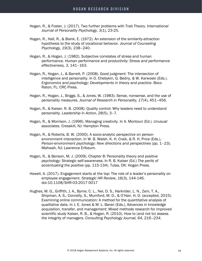- Hogan, R., & Foster, J. (2017). Two further problems with Trait Theory. *International Journal of Personality Psychology*, *3*(1)*,* 23-25.
- Hogan, R., Hall, R., & Blank, E. (1972). An extension of the similarity-attraction hypothesis to the study of vocational behavior. *Journal of Counseling Psychology, 19*(3), 238–240.
- Hogan, R., & Hogan, J. (1982). Subjective correlates of stress and human performance. *Human performance and productivity: Stress and performance effectiveness, 3*, 141–163.
- Hogan, R., Hogan, J., & Barrett, P. (2008). Good judgment: The intersection of intelligence and personality. In O. Chebykin, G. Bedny, & W. Karwoski (Eds.). *Ergonomics and psychology: Developments in theory and practice*. Boco Raton, FL: CRC Press.
- Hogan, R., Hogan, J., Briggs, S., & Jones, W. (1983). Sense, nonsense, and the use of personality measures. *Journal of Research in Personality, 17*(4), 451–456.
- Hogan, R., & Kaiser, R. B. (2008). Quality control: Why leaders need to understand personality. *Leadership in Action, 28*(5), 3–7.
- Hogan, R., & Morrison, J. (1996). Managing creativity. In A. Montouri (Ed.). *Unusual associates.* Cresskill, NJ: Hampton Press.
- Hogan, R., & Roberts, B. W. (2000). A socio-analytic perspective on personenvironment interaction. In W. B. Walsh, K. H. Craik, & R. H. Price (Eds.), *Person-environment psychology: New directions and perspectives (pp. 1–23).* Mahwah, NJ: Lawrence Erlbaum.
- Hogan, R., & Benson, M. J. (2009). Chapter 8: Personality theory and positive psychology: Strategic self-awareness. In R. B. Kaiser (Ed.) *The perils of accentuating the positive* (pp. 115-134). Tulsa, OK: Hogan Press.
- Howell, A. (2017). Engagement starts at the top: The role of a leader's personality on employee engagement. *Strategic HR Review, 16*(3)*,* 144-146. doi:10.1108/SHR-03-2017-0017
- Hughes, M. G., Griffith, J. A., Byrne, C. L., Nei, D. S., Harkrider, L. N., Zeni, T. A., Shipman, A. S., Connelly, S., Mumford, M. D., & O'Hair, H. D. (accepted, 2015). Examining online communication: A method for the quantitative analysis of qualitative data. In J. E. Jones & M. L. Baran (Eds.), Advances in knowledge acquisition, transfer, and management: Mixed methods research for improved scientific study Kaiser, R. B., & Hogan, R. (2010). How to (and not to) assess the integrity of managers. *Consulting Psychology Journal, 64, 216–234.*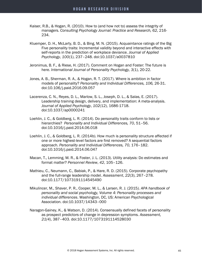- Kaiser, R.B., & Hogan, R. (2010). How to (and how not to) assess the integrity of managers. *Consulting Psychology Journal: Practice and Research, 62,* 216- 234.
- Kluemper, D. H., McLarty, B. D., & Bing, M. N. (2015). Acquaintance ratings of the Big Five personality traits: Incremental validity beyond and interactive effects with self-reports in the prediction of workplace deviance. *Journal of Applied Psychology*, *100*(1), 237–248. doi:10.1037/a0037810
- Jeronimus, B. F., & Riese, H. (2017). Comment on Hogan and Foster: The future is here. *International Journal of Personality Psychology, 3*(1), 20-22.
- Jones, A. B., Sherman, R. A., & Hogan, R. T. (2017). Where is ambition in factor models of personality? *Personality and Individual Differences, 106,* 26-31. doi:10.106/j.paid.2016.09.057
- Lacerenza, C. N., Reyes, D. L., Marlow, S. L., Joseph, D. L., & Salas, E. (2017). Leadership training design, delivery, and implementation: A meta-analysis. *Journal of Applied Psychology*, *102*(12), 1686-1718. doi:10.1037/ap0000241
- Loehlin, J. C., & Goldberg, L. R. (2014). Do personality traits conform to lists or hierarchies? *Personality and Individual Differences, 70*, 51–56. doi:10.1016/j.paid.2014.06.018
- Loehlin, J. C., & Goldberg, L. R. (2014b). How much is personality structure affected if one or more highest-level factors are first removed? A sequential factors approach. *Personality and Individual Differences, 70*, 176–182. doi:10.1016/j.paid.2014.06.047
- Macan, T., Lemming, M. R., & Foster, J. L. (2013). Utility analysis: Do estimates and format matter? *Personnel Review*, *42*, 105–126.
- Mathieu, C., Neumann, C., Babiak, P., & Hare, R. D. (2015). Corporate psychopathy and the full-range leadership model. *Assessment*, *22*(3), 267–278. doi:10.1177/1073191114545490
- Mikulincer, M., Shaver, P. R., Cooper, M. L., & Larsen, R. J. (2015*). APA handbook of personality and social psychology, Volume 4: Personality processes and individual differences*. Washington, DC, US: American Psychological Association. doi:10.1037/14343–000
- Naragon-Gainey, K., & Watson, D. (2014). Consensually defined facets of personality as prospect predictors of change in depression symptoms. *Assessment, 21(4)*, 387–403. doi:10.1177/1073191114528030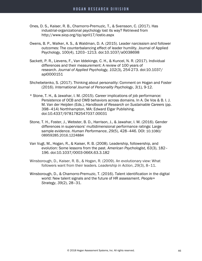- Ones, D. S., Kaiser, R. B., Chamorro-Premuzic, T., & Svensson, C. (2017). Has industrial-organizational psychology lost its way? Retrieved from http://www.siop.org/tip/april17/lostio.aspx
- Owens, B. P., Walker, A. S., & Waldman, D. A. (2015). Leader narcissism and follower outcomes: The counterbalancing effect of leader humility. Journal of Applied Psychology, 100(4), 1203–1213. doi:10.1037/a0038698
- Sackett, P. R., Lievens, F., Van Iddekinge, C. H., & Kuncel, N. R. (2017). Individual differences and their measurement: A review of 100 years of research. *Journal of Applied Psychology, 102*(3)*,* 254-273. doi:10.1037/ apl0000151
- Shchebetenko, S. (2017). Thinking about personality: Comment on Hogan and Foster (2016). *International Journal of Personality Psychology*, *3*(1)*,* 9-12.
- \* Stone, T. H., & Jawahar, I. M. (2015). Career implications of job performance: Persistence of OCB and CWB behaviors across domains. In A. De Vos & B. I. J. M. Van der Heijden (Eds.), *Handbook of Research on Sustainable Careers* (pp. 398–414) Northhampton, MA: Edward Elgar Publishing. doi:10.4337/9781782547037.00031
- Stone, T. H., Foster, J., Webster, B. D., Harrison, J., & Jawahar, I. M. (2016). Gender differences in supervisors' multidimensional performance ratings: Large sample evidence. *Human Performance*, *29*(5), 428–446. DOI: [10.1080/](http://dx.doi.org/10.1080/08959285.2016.1224884) [08959285.2016.1224884](http://dx.doi.org/10.1080/08959285.2016.1224884)
- Van Vugt, M., Hogan, R., & Kaiser, R. B. (2008). Leadership, followership, and evolution: Some lessons from the past. *American Psychologist, 63*(3), 182– 196. doi:10.1037/0003-066X.63.3.182
- Winsborough, D., Kaiser, R. B., & Hogan, R. (2009). An evolutionary view: What followers want from their leaders. *Leadership in Action*, *29*(3), 8–11.
- Winsborough, D., & Chamorro-Premuzic, T. (2016). Talent identification in the digital world: New talent signals and the future of HR assessment. *People+ Strategy*, *39*(2), 28–31.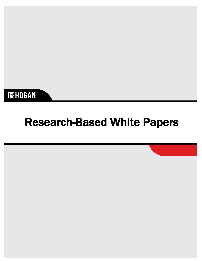

### Research-Based White Papers

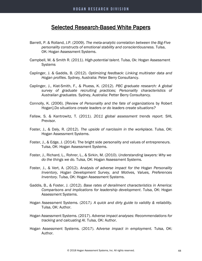#### Selected Research-Based White Papers

- <span id="page-47-0"></span>Barrett, P. & Rolland, J.P. (2009). *The meta-analytic correlation between the Big-Five personality constructs of emotional stability and conscientiousness.* Tulsa, OK: Hogan Assessment Systems.
- Campbell, M. & Smith R. (2011). *High-potential talent.* Tulsa, Ok: Hogan Assessment Systems
- Caplinger, J. & Gaddis, B. (2012). *Optimizing feedback: Linking multirater data and Hogan profiles*. Sydney, Australia: Peter Berry Consultancy.
- Caplinger, J., Klat-Smith, F., & Pluess, K. (2012). *PBC graduate research: A global survey of graduate recruiting practices; Personality characteristics of Australian graduates.* Sydney, Australia: Petter Berry Consultancy.
- Connolly, K. (2006). [Review of *Personality and the fate of organizations* by Robert Hogan].Do *situations create leaders or do leaders create situations?*
- Fallaw, S. & Kantrowitz, T. (2011). *2011 global assessment trends report.* SHL Previsor.
- Foster, J., & Daly, R. (2012). *The upside of narcissim in the workplace*. Tulsa, OK: Hogan Assessment Systems.
- Foster, J., & Edge, J. (2014). The bright side personality and values of entrepreneurs. Tulsa, OK: Hogan Assessment Systems.
- Foster, J., Richard, L., Rohrer, L., & Sirkin, M. (2010). *Understanding lawyers: Why we do the things we do.* Tulsa, OK: Hogan Assessment Systems.
- Foster, J., & Vert, A. (2012). *Analysis of adverse impact for the Hogan Personality Inventory, Hogan Development Survey, and Motives, Values, Preferences Inventory*. Tulsa, OK: Hogan Assessment Systems.
- Gaddis, B., & Foster, J. (2012). *Base rates of derailment characteristics in America: Comparisons and implications for leadership development*. Tulsa, OK: Hogan Assessment Systems.
- Hogan Assessment Systems. (2017*). A quick and dirty guide to validity & reliability.*  Tulsa, OK: Author.
- Hogan Assessment Systems. (2017). *Adverse impact analyses: Recommendations for tracking and calcuating AI.* Tulsa, OK: Author.
- Hogan Assessment Systems. (2017). *Adverse impact in employment.* Tulsa, OK: Author.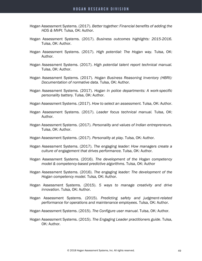- Hogan Assessment Systems. (2017). *Better together: Financial benefits of adding the HDS & MVPI.* Tulsa, OK: Author.
- Hogan Assessment Systems. (2017). *Business outcomes highlights: 2015-2016.*  Tulsa, OK: Author.
- Hogan Assessment Systems. (2017). *High potential: The Hogan way.* Tulsa, OK: Author.
- Hogan Assessment Systems. (2017). *High potential talent report technical manual.*  Tulsa, OK: Author.
- Hogan Assessment Systems. (2017). *Hogan Business Reasoning Inventory (HBRI): Documentation of normative data.* Tulsa, OK: Author.
- Hogan Assessment Systems. (2017). *Hogan in police departments: A work-specific personality battery.* Tulsa, OK: Author.
- Hogan Assessment Systems. (2017). *How to select an assessment.* Tulsa, OK: Author.
- Hogan Assessment Systems. (2017). *Leader focus technical manual.* Tulsa, OK: Author.
- Hogan Assessment Systems. (2017). *Personality and values of Indian entrepreneurs.*  Tulsa, OK: Author.
- Hogan Assessment Systems. (2017). *Personality at play.* Tulsa, OK: Author.
- Hogan Assessment Systems. (2017). *The engaging leader: How managers create a culture of engagement that drives performance.* Tulsa, OK: Author.
- Hogan Assessment Systems. (2016). *The development of the Hogan competency model & competency-based predictive algorithms.* Tulsa, OK: Author
- Hogan Assessment Systems. (2016). *The engaging leader: The development of the Hogan competency model.* Tulsa, OK: Author.
- Hogan Assessment Systems. (2015). *5 ways to manage creativity and drive innovation*. Tulsa, OK: Author.
- Hogan Assessment Systems. (2015). *Predicting safety and judgment-related performance for operations and maintenance employees*. Tulsa, OK: Author.
- Hogan Assessment Systems. (2015). *The Configure user manual*. Tulsa, OK: Author.
- Hogan Assessment Systems. (2015). *The Engaging Leader practitioners guide*. Tulsa, OK: Author.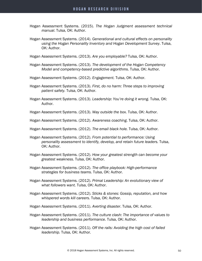- Hogan Assessment Systems. (2015). *The Hogan Judgment assessment technical manual*. Tulsa, OK: Author.
- Hogan Assessment Systems. (2014). *Generational and cultural effects on personality using the Hogan Personality Inventory and Hogan Development Survey*. Tulsa, OK: Author.

Hogan Assessment Systems. (2013). *Are you employable?* Tulsa, OK: Author.

- Hogan Assessment Systems. (2013). *The development of the Hogan Competency Model and competency-based predictive algorithms*. Tulsa, OK: Author.
- Hogan Assessment Systems. (2012). *Engagement.* Tulsa, OK: Author.
- Hogan Assessment Systems. (2013). *First, do no harm: Three steps to improving patient safety.* Tulsa, OK: Author.
- Hogan Assessment Systems. (2013). *Leadership: You're doing it wrong.* Tulsa, OK: Author.
- Hogan Assessment Systems. (2013). *Way outside the box.* Tulsa, OK: Author.
- Hogan Assessment Systems. (2012). *Awareness coaching*. Tulsa, OK: Author.
- Hogan Assessment Systems. (2012). *The email black hole.* Tulsa, OK: Author.
- Hogan Assessment Systems. (2012). *From potential to performance: Using personality assessment to identify, develop, and retain future leaders.* Tulsa, OK: Author.
- Hogan Assessment Systems. (2012). *How your greatest strength can become your greatest weakness.* Tulsa, OK: Author.
- Hogan Assessment Systems. (2012). *The office playbook: High-performance strategies for business teams.* Tulsa, OK: Author.
- Hogan Assessment Systems. (2012). *Primal Leadership: An evolutionary view of what followers want.* Tulsa, OK: Author.
- Hogan Assessment Systems. (2012). *Sticks & stones: Gossip, reputation, and how whispered words kill careers.* Tulsa, OK: Author.
- Hogan Assessment Systems. (2011). *Averting disaster*. Tulsa, OK: Author.
- Hogan Assessment Systems. (2011). *The culture clash: The importance of values to leadership and business performance.* Tulsa, OK: Author.
- Hogan Assessment Systems. (2011). *Off the rails: Avoiding the high cost of failed leadership.* Tulsa, OK: Author.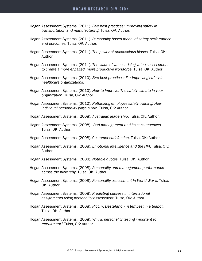- Hogan Assessment Systems. (2011). *Five best practices: Improving safety in transportation and manufacturing.* Tulsa, OK: Author.
- Hogan Assessment Systems. (2011). *Personality-based model of safety performance and outcomes.* Tulsa, OK: Author.
- Hogan Assessment Systems. (2011). *The power of unconscious biases.* Tulsa, OK: Author.
- Hogan Assessment Systems. (2011). *The value of values: Using values assessment to create a more engaged, more productive workforce.* Tulsa, OK: Author.
- Hogan Assessment Systems. (2010). *Five best practices: For improving safety in healthcare organizations.*
- Hogan Assessment Systems. (2010). *How to improve: The safety climate in your organization.* Tulsa, OK: Author.
- Hogan Assessment Systems. (2010). *Rethinking employee safety training: How individual personality plays a role.* Tulsa, OK: Author.
- Hogan Assessment Systems. (2008). *Australian leadership*. Tulsa, OK: Author.
- Hogan Assessment Systems. (2008). *Bad management and its consequences.*  Tulsa, OK: Author.
- Hogan Assessment Systems. (2008). *Customer satisfaction.* Tulsa, OK: Author.
- Hogan Assessment Systems. (2008). *Emotional intelligence and the HPI*. Tulsa, OK: Author.
- Hogan Assessment Systems. (2008). *Notable quotes.* Tulsa, OK: Author.
- Hogan Assessment Systems. (2008). *Personality and management performance across the hierarchy.* Tulsa, OK: Author.
- Hogan Assessment Systems. (2008). *Personality assessment in World War II.* Tulsa, OK: Author.
- Hogan Assessment Systems. (2008). *Predicting success in international assignments using personality assessment.* Tulsa, OK: Author.
- Hogan Assessment Systems. (2008). *Ricci v. Destafano – A tempest in a teapot*. Tulsa, OK: Author.
- Hogan Assessment Systems. (2008). *Why is personality testing important to recruitment?* Tulsa, OK: Author.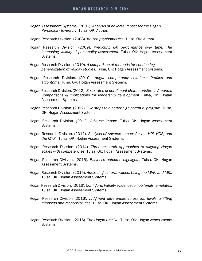Hogan Assessment Systems. (2006). *Analysis of adverse impact for the Hogan Personality Inventory*. Tulsa, OK: Author.

Hogan Research Division. (2008). *Kaizen psychometrics.* Tulsa, OK: Author.

- Hogan Research Division. (2009). *Predicting job performance over time: The increasing validity of personality assessment.* Tulsa, OK: Hogan Assessment Systems.
- Hogan Research Division. (2010). *A comparison of methods for conducting generalization of validity studies.* Tulsa, OK: Hogan Assessment Systems.
- Hogan Research Division. (2010). *Hogan competency solutions: Profiles and algorithms*. Tulsa, OK: Hogan Assessment Systems.
- Hogan Research Division. (2012). *Base rates of derailment characteristics in America: Comparisons & implications for leadership development.* Tulsa, OK: Hogan Assessment Systems.
- Hogan Research Division. (2012). *Five steps to a better high potential program.* Tulsa, OK: Hogan Assessment Systems.
- Hogan Research Division. (2012). *Adverse impact*. Tulsa, OK: Hogan Assessment Systems.
- Hogan Research Division. (2012). *Analysis of Adverse Impact for the HPI, HDS, and the MVPI.* Tulsa, OK: Hogan Assessment Systems.
- Hogan Research Division. (2014). *Three research approaches to aligning Hogan scales with competencies.* Tulsa, Ok: Hogan Assessment Systems.
- Hogan Research Division. (2015). *Business outcome highlights*. Tulsa, OK: Hogan Assessment Systems.
- Hogan Research Division. (2016). *Assessing cultural values: Using the MVPI and MIC.* Tulsa, OK: Hogan Assessment Systems.
- Hogan Research Division. (2016). *Configure: Validity evidence for job family templates.* Tulsa, OK: Hogan Assessment Systems.
- Hogan Research Division (2016). *Judgment differences across job levels: Shifting mindsets and responsibilities*. Tulsa, OK: Hogan Assessment Systems.
- Hogan Research Division. (2016). *The Hogan archive*. Tulsa, OK: Hogan Assessments Systems.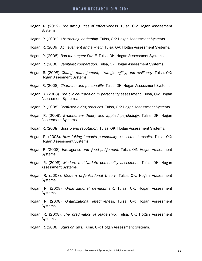- Hogan, R. (2012). *The ambiguities of effectiveness.* Tulsa, OK: Hogan Assessment Systems.
- Hogan, R. (2009). *Abstracting leadership*. Tulsa, OK: Hogan Assessment Systems.
- Hogan, R. (2009). *Achievement and anxiety*. Tulsa, OK: Hogan Assessment Systems.
- Hogan, R. (2008). *Bad managers: Part II.* Tulsa, OK: Hogan Assessment Systems.
- Hogan, R. (2008). *Capitalist cooperation*. Tulsa, Ok: Hogan Assessment Systems.
- Hogan, R. (2008). *Change management, strategic agility, and resiliency*. Tulsa, OK: Hogan Assesment Systems.
- Hogan, R. (2008). *Character and personality.* Tulsa, OK: Hogan Assessment Systems.
- Hogan, R. (2008). *The clinical tradition in personality assessment.* Tulsa, OK: Hogan Assessment Systems.
- Hogan, R. (2008). *Confused hiring practices*. Tulsa, OK: Hogan Assessment Systems.
- Hogan, R. (2008). *Evolutionary theory and applied psychology.* Tulsa, OK: Hogan Assessment Systems.
- Hogan, R. (2008). *Gossip and reputation.* Tulsa, OK: Hogan Assessment Systems.
- Hogan, R. (2008). *How faking impacts personality assessment results.* Tulsa, OK: Hogan Assessment Systems.
- Hogan, R. (2008). *Intelligence and good judgement.* Tulsa, OK: Hogan Assessment Systems.
- Hogan, R. (2008). *Modern multivariate personality asessment.* Tulsa, OK: Hogan Assessment Systems.
- Hogan, R. (2008). *Modern organizational theory.* Tulsa, OK: Hogan Assessment Systems.
- Hogan, R. (2008). *Organizational development*. Tulsa, OK: Hogan Assessment Systems.
- Hogan, R. (2008). *Organizational effectiveness,* Tulsa, OK: Hogan Assessment Systems.
- Hogan, R. (2008). *The pragmatics of leadership.* Tulsa, OK: Hogan Assessment Systems.

Hogan, R. (2008). *Stars or Rats.* Tulsa, OK: Hogan Assessment Systems.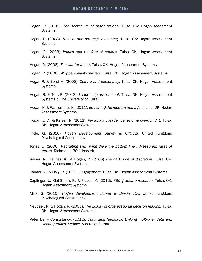- Hogan, R. (2008). *The secret life of organizations.* Tulsa, OK: Hogan Assesment Systems.
- Hogan, R. (2008). *Tactical and strategic reasoning.* Tulsa, OK: Hogan Assessment Systems.
- Hogan, R. (2008). *Values and the fate of nations*. Tulsa, OK: Hogan Assessment Systems.
- Hogan, R. (2008). *The war for talent.* Tulsa, OK: Hogan Assessment Systems.
- Hogan, R. (2008). *Why personality matters.* Tulsa, OK: Hogan Assessment Systems.
- Hogan R. & Bond M. (2008). *Culture and personality.* Tulsa, OK: Hogan Assessment Systems.
- Hogan, R. & Tett, R. (2013). *Leadership assessment.* Tulsa, OK: Hogan Assessment Systems & The University of Tulsa.
- Hogan, R. & Warrenfeltz, R. (2011). *Educating the modern manager.* Tulsa, OK: Hogan Assessment Systems.
- Hogan, J. C., & Kaiser, R. (2012). *Personality, leader behavior & overdoing it*. Tulsa, OK: Hogan Assessment Systems.
- Hyde, G. (2010). *Hogan Development Survey & OPQ32i.* United Kingdom: Psychological Consultancy.
- Jones, D. (2006). *Recruiting and hiring drive the bottom line… Measuring rates of return.* Richmond, BC: Hiredesk.
- Kaiser, R., Devries, K., & Hogan, R. (2006) *The dark side of discretion.* Tulsa, OK: Hogan Assessment Systems.
- Palmer, A., & Daly, R. (2012). *Engagement*. Tulsa, OK: Hogan Assessment Systems.
- Caplinger, J., Klat-Smith, F., & Pluess, K. (2012). *PBC graduate research.* Tulsa, OK: Hogan Assesment Systems
- Mills, S. (2010). *Hogan Development Survey & BarOn EQ-I.* United Kingdom: Psychological Consultancy.
- Neubaer, R. & Hogan, R. (2008). *The quality of organizational decision making.* Tulsa, OK: Hogan Assessment Systems.
- Peter Berry Consultancy. (2012). *Optimizing feedback: Linking multirater data and Hogan profiles.* Sydney, Australia: Author.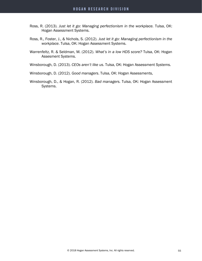- Ross, R. (2013). *Just let it go: Managing perfectionism in the workplace.* Tulsa, OK: Hogan Assessment Systems.
- Ross, R., Foster, J., & Nichols, S. (2012). *Just let it go: Managing perfectionism in the workplace*. Tulsa, OK: Hogan Assessment Systems.
- Warrenfeltz, R. & Seldman, M. (2012). *What's in a low HDS score?* Tulsa, OK: Hogan Assesment Systems.
- Winsborough, D. (2013). *CEOs aren't like us*. Tulsa, OK: Hogan Assessment Systems.
- Winsborough, D. (2012). *Good managers*. Tulsa, OK: Hogan Assessments,
- Winsborough, D., & Hogan, R. (2012). *Bad managers.* Tulsa, OK: Hogan Assessment Systems.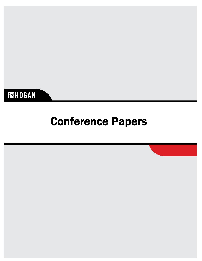

### Conference Papers

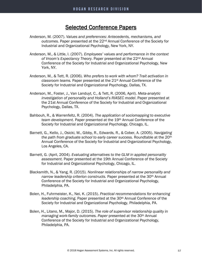#### **Selected Conference Papers**

- <span id="page-56-0"></span>Anderson, M. (2007). *Values and preferences: Antecedents, mechanisms, and outcomes.* Paper presented at the 22nd Annual Conference of the Society for Industrial and Organizational Psychology, New York, NY.
- Anderson, M., & Little, I. (2007). *Employees' values and performance in the context of Vroom's Expectancy Theory*. Paper presented at the 22nd Annual Conference of the Society for Industrial and Organizational Psychology, New York, NY.
- Anderson, M., & Tett, R. (2006). *Who prefers to work with whom? Trait activation in classroom teams.* Paper presented at the 21st Annual Conference of the Society for Industrial and Organizational Psychology, Dallas, TX.
- Anderson, M., Foster, J., Van Landuyt, C., & Tett, R. (2006, April). *Meta-analytic investigation of personality and Holland's RIASEC model*. Paper presented at the 21st Annual Conference of the Society for Industrial and Organizational Psychology, Dallas, TX.
- Bahbouh, R., & Warrenfeltz, R. (2004). *The application of sociomapping to executive team development.* Paper presented at the 19th Annual Conference of the Society for Industrial and Organizational Psychology, Chicago, IL.
- Barnett, G., Kello, J., Osicki, M., Gibby, R., Edwards, R., & Cober, A. (2005). *Navigating the path from graduate school to early career success.* Roundtable at the 20th Annual Conference of the Society for Industrial and Organizational Psychology, Los Angeles, CA.
- Barnett, G. (April, 2004). *Evaluating alternatives to the GLM in applied personality assessment.* Paper presented at the 19th Annual Conference of the Society for Industrial and Organizational Psychology, Chicago, IL.
- Blacksmith, N., & Yang, R. (2015). *Nonlinear relationships of narrow personality and narrow leadership criterion constructs.* Paper presented at the 30th Annual Conference of the Society for Industrial and Organizational Psychology, Philadelphia, PA.
- Bolen, H., Fuhrmeister, K., Nei, K. (2015). *Practical recommendations for enhancing leadership coaching.* Paper presented at the 30th Annual Conference of the Society for Industrial and Organizational Psychology, Philadelphia, PA.
- Bolen, H., Litano, M., Major, D. (2015). *The role of supervisor relationship quality in managing work-family outcomes. Paper* presented at the 30th Annual Conference of the Society for Industrial and Organizational Psychology, Philadelphia, PA.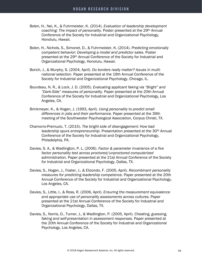- Bolen, H., Nei, K., & Fuhrmeister, K. (2014). *Evaluation of leadership development coaching: The impact of personality.* Poster presented at the 29th Annual Conference of the Society for Industrial and Organizational Psychology, Honolulu, Hawaii.
- Bolen, H., Nichols, S., Simonet, D., & Fuhrmeister, K. (2014). *Predicting emotionally competent behavior: Developing a model and predictor sales.* Poster presented at the 29th Annual Conference of the Society for Industrial and Organizational Psychology, Honolulu, Hawaii.
- Borich, J., & Murphy, S. (2004, April). *Do borders really matter? Issues in multinational selection*. Paper presented at the 19th Annual Conference of the Society for Industrial and Organizational Psychology, Chicago, IL.
- Bourdeau, N. R., & Lock, J. D. (2005). *Evaluating applicant faking via "Bright" and "Dark-Side" measures of personality.* Paper presented at the 20th Annual Conference of the Society for Industrial and Organizational Psychology, Los Angeles, CA.
- Brinkmeyer, K., & Hogan, J. (1993, April). *Using personality to predict small differences in jobs and their performance.* Paper presented at the 39th meeting of the Southwester Psychological Association, Corpus Christi, TX.
- Chamorro-Premuzic, T. (2015). *The bright side of disengagement: How bad leadership spurs entrepreneurship*. Presentation presented at the 30th Annual Conference of the Society for Industrial and Organizational Psychology, Philadelphia, PA.
- Davies, S. A., & Wadlington, P. L. (2006). *Factor & parameter invariance of a five factor personality test across proctored/unproctored computerized administration.* Paper presented at the 21st Annual Conference of the Society for Industrial and Organizational Psychology, Dallas, TX.
- Davies, S., Hogan, J., Foster, J., & Elizondo, F. (2005, April). *Recombinant personality measures for predicting leadership competence.* Paper presented at the 20th Annual Conference of the Society for Industrial and Organizational Psychology, Los Angeles, CA.
- Davies, S., Little, I., & Ross, R. (2006, April). *Ensuring the measurement equivalence and appropriate use of personality assessments across cultures.* Paper presented at the 21st Annual Conference of the Society for Industrial and Organizational Psychology, Dallas, TX.
- Davies, S., Norris, D., Turner, J., & Wadlington, P. (2005, April). *Cheating, guessing, faking and self-presentation in assessment responses.* Paper presented at the 20th Annual Conference of the Society for Industrial and Organizational Psychology, Los Angeles, CA.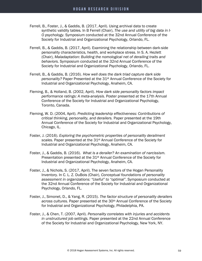- Ferrell, B., Foster, J., & Gaddis, B. (2017, April). Using archival data to create synthetic validity tables*.* In B Ferrell (Chair), *The use and utility of big data in I-O psychology.* Symposium conducted at the 32nd Annual Conference of the Society for Industrial and Organizational Psychology, Orlando, FL.
- Ferrell, B., & Gaddis, B. (2017, April). Examining the relationship between dark-side personality characteristics, health, and workplace stress. In S. A. Hezlett (Chair), *Maladaptation: Building the nomological net of derailing traits and behaviors.* Symposium conducted at the 32nd Annual Conference of the Society for Industrial and Organizational Psychology, Orlando, FL.
- Ferrell, B., & Gaddis, B. (2016). *How well does the dark triad capture dark side personality?* Paper Presented at the 31st Annual Conference of the Society for Industrial and Organizational Psychology, Anaheim, CA.
- Fleming, B., & Holland, B. (2002, April). *How dark side personality factors impact performance ratings: A meta-analysis*. Poster presented at the 17th Annual Conference of the Society for Industrial and Organizational Psychology, Toronto, Canada.
- Fleming, W. D. (2004, April). *Predicting leadership effectiveness: Contributions of critical thinking, personality, and derailers.* Paper presented at the 19th Annual Conference of the Society for Industrial and Organizational Psychology, Chicago, IL.
- Foster, J. (2016). *Exploring the psychometric properties of personality derailment scales.* Paper presented at the 31st Annual Conference of the Society for Industrial and Organizational Psychology, Anaheim, CA.
- Foster, J., & Gaddis, B. (2016). *What is a derailer? An examination of narcissism.*  Presentation presented at the 31<sup>st</sup> Annual Conference of the Society for Industrial and Organizational Psychology, Anaheim, CA.
- Foster, J., & Nichols, S. (2017, April). The seven factors of the Hogan Personality Inventory*.* In C. L. Z. DuBois (Chair), *Conceptual foundations of personality assessment in organizations: "Useful" to "optimal"*. Symposium conducted at the 32nd Annual Conference of the Society for Industrial and Organizational Psychology, Orlando, FL.
- Foster, J., Simonet, D., & Yang, R. (2015). *The factor structure of personality derailers across cultures.* Paper presented at the 30th Annual Conference of the Society for Industrial and Organizational Psychology, Philadelphia, PA.
- Foster, J., & Chen, T. (2007, April). *Personality correlates with injuries and accidents in unstructured job settings.* Paper presented at the 22nd Annual Conference of the Society for Industrial and Organizational Psychology, New York, NY.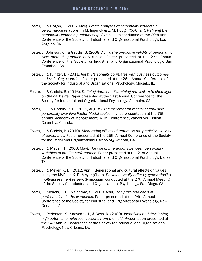- Foster, J., & Hogan, J. (2006, May). *Profile analyses of personality-leadership performance relations.* In M. Ingerick & L. M. Hough (Co-Chair), *Refining the personality-leadership relationship.* Symposium conducted at the 20th Annual Conference of the Society for Industrial and Organizational Psychology, Los Angeles, CA.
- Foster, J., Johnson, C., & Gaddis, B. (2008, April). *The predictive validity of personality: New methods produce new results.* Poster presented at the 23rd Annual Conference of the Society for Industrial and Organizational Psychology, San Francisco, CA.
- Foster, J., & Klinger, B. (2011, April). *Personality correlates with business outcomes in developing countries*. Poster presented at the 26th Annual Conference of the Society for Industrial and Organizational Psychology, Chicago, IL.
- Foster, J., & Gaddis, B. (2016). *Defining derailers: Examining narcissism to shed light on the dark side.* Paper presented at the 31st Annual Conference for the Society for Industrial and Organizational Psychology, Anaheim, CA.
- Foster, J. L., & Gaddis, B. H. (2015, August). *The incremental validity of dark side personality over Five-Factor Model scales*. Invited presentation at the 75th annual Academy of Management (AOM) Conference, Vancouver, British Columbia, Canada.
- Foster, J., & Gaddis, B. (2010). *Moderating effects of tenure on the predicitve validity of personality.* Poster presented at the 25th Annual Conference of the Society for Industrial and Organizational Psychology, Atlanta, GA.
- Foster, J., & Macan, T. (2006, May). *The use of interactions between personality variables to predict performance.* Paper presented at the 21st Annual Conference of the Society for Industrial and Organizational Psychology, Dallas, TX.
- Foster, J., & Meyer, K. D. (2012, April). Generational and cultural effects on values using the MVPI. In K. D. Meyer (Chair), *Do values really differ by generation? A multi-assessment review*. Symposium conducted at the 27th Annual Meeting of the Society for Industrial and Organizational Psychology, San Diego, CA.
- Foster, J., Nichols, S. B., & Sharma, S. (2009, April). *The pro's and con's of perfectionism in the workplace.* Paper presented at the 24th Annual Conference of the Society for Industrial and Organizational Psychology, New Orleans, LA.
- Foster, J., Pederson, K., Saavedra, J., & Ross, R. (2009). *Identifying and developing high potential employees: Lessons from the field.* Presentation presented at the 24th Annual Conference of the Society for Industrial and Organizational Psychology, New Orleans, LA.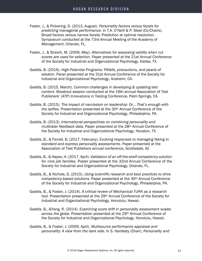- Foster, J., & Pickering, D. (2013, August). *Personality factors versus facets for predicting managerial performance.* In T.A. O'Neill & P. Steel (Co-Chairs), Broad factors versus narrow facets: Prediction at optimal resolution. Symposium conducted at the 73rd Annual Meeting of the Academy of Management, Orlando, FL.
- Foster, J., & Streich, M. (2006, May). *Alternatives for assessing validity when cut scores are used for selection.* Paper presented at the 21st Annual Conference of the Society for Industrial and Organizational Psychology, Dallas, TX.
- Gaddis, B. (2016). *High-Potential Programs: Pitfalls, precautions, and pearls of wisdom.* Panel presented at the 31st Annual Conference of the Society for Industrial and Organizational Psychology, Anaheim, CA.
- Gaddis, B. (2015, March). *Common challenges in developing & updating test content.* Breakout session conducted at the 16th annual Association of Test Publishers' (ATP) Innovations in Testing Conference, Palm Springs, CA.
- Gaddis, B. (2015). *The impact of narcissism on leadership: Or… That's enough with the selfies.* Presentation presented at the 30th Annual Conference of the Society for Industrial and Organizational Psychology, Philadelphia, PA.
- Gaddis, B. (2013). *International perspectives on combining personality and multirater feedback data.* Paper presented at the 28th Annual Conference of the Society for Industrial and Organizational Psychology, Houston, TX.
- Gaddis, B., & Ferrell, B. (2017, February). *Evolving responses to managing faking in standard and express personality assessments*. Paper presented at the Association of Test Publishers annual conference, Scottsdale, AZ
- Gaddis, B., & Hayes, H. (2017, April). *Validation of an off-the-shelf competency solution for nine job families.* Poster presented at the 32nd Annual Conference of the Society for Industrial and Organizational Psychology, Orlando, FL.
- Gaddis, B., & Nichols, S. (2015). *Using scientific research and best practices to drive competency-based solutions*. Paper presented at the 30th Annual Conference of the Society for Industrial and Organizational Psychology, Philadelphia, PA.
- Gaddis, B., & Foster, J. (2014). *A critical review of Mechanical TURK as a research tool.* Presentation presented at the 29th Annual Conference of the Society for Industrial and Organizational Psychology, Honolulu, Hawaii.
- Gaddis, B., &Yang, R. (2014). *Examining score drift in personality assessment scales across the globe.* Presentation presented at the 29th Annual Conference of the Society for Industrial and Organizational Psychology, Honolulu, Hawaii.
- Gaddis, B., & Foster, J. (2009, April). *Multisource performance appraisal and personality: A view from the dark side.* In S. Hardesty (Chair), *Personality and*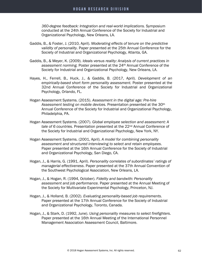*360-degree feedback: Integration and real-world implications.* Symposium conducted at the 24th Annual Conference of the Society for Industrial and Organizational Psychology, New Orleans, LA.

- Gaddis, B., & Foster, J. (2010, April). *Moderating effects of tenure on the predictive validity of personality*. Paper presented at the 25th Annual Conference for the Society of Industrial and Organizational Psychology, Atlanta, GA.
- Gaddis, B., & Meyer, K. (2009). *Ideals versus reality: Analysis of current practices in assessment norming.* Poster presented at the 24th Annual Conference of the Society for Industrial and Organizational Psychology, New Orleans, LA.
- Hayes, H., Ferrell, B., Huck, J., & Gaddis, B. (2017, April). *Development of an empirically-based short form personality assessment.* Poster presented at the 32nd Annual Conference of the Society for Industrial and Organizational Psychology, Orlando, FL.
- Hogan Assessment Systems. (2015). *Assessment in the digital age: Pre-hire Assessment testing on mobile devices.* Presentation presented at the 30th Annual Conference of the Society for Industrial and Organizational Psychology, Philadelphia, PA.
- Hogan Assessment Systems. (2007). *Global employee selection and assessment: A tale of 6 countries.* Presentation presented at the 22nd Annual Conference of the Society for Industrial and Organizational Psychology, New York, NY.
- Hogan Assessment Systems. (2001, April). *A model for combining personality assessment and structured interviewing to select and retain employees*. Paper presented at the 16th Annual Conference for the Society of Industrial and Organizational Psychology, San Diego, CA.
- Hogan, J., & Harris, G. (1991, April). *Personality correlates of subordinates' ratings of managerial effectiveness*. Paper presented at the 37th Annual Convention of the Southwest Psychological Association, New Orleans, LA.
- Hogan, J., & Hogan, R. (1994, October). *Fidelity and bandwith: Personality assessment and job performance.* Paper presented at the Annual Meeting of the Society for Multivariate Experimental Psychology, Princeton, NJ.
- Hogan, J., & Holland, B. (2002). *Evaluating personality-based job requirements*. Paper presented at the 17th Annual Conference for the Society of Industrial and Organizational Psychology, Toronto, Canada.
- Hogan, J., & Stark, D. (1992, June). *Using personality measures to select firefighters*. Paper presented at the 16th Annual Meeting of the International Personnel Management Association Assessment Council, Baltimore.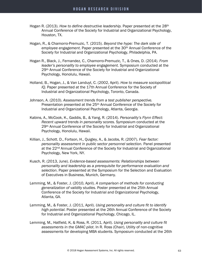- Hogan R. (2013). *How to define destructive leadership.* Paper presented at the 28th Annual Conference of the Society for Industrial and Organizational Psychology, Houston, TX.
- Hogan, R., & Chamorro-Premuzic, T. (2015). *Beyond the hype: The dark side of employee engagement*. Paper presented at the 30th Annual Conference of the Society for Industrial and Organizational Psychology, Philadelphia, PA.
- Hogan R., Black, J., Fernandez, C., Chamorro-Premuzic, T., & Ones, D. (2014). *From leader's personality to employee engagement.* Symposium conducted at the 29<sup>th</sup> Annual Conference of the Society for Industrial and Organizational Psychology, Honolulu, Hawaii.
- Holland, B., Hogan, J., & Van Landuyt, C. (2002, April). *How to measure sociopolitical IQ.* Paper presented at the 17th Annual Conference for the Society of Industrial and Organizational Psychology, Toronto, Canada.
- Johnson, A. (2010). *Assessment trends from a test publisher perspective.* Presentation presented at the 25<sup>th</sup> Annual Conference of the Society for Industrial and Organizational Psychology, Atlanta, Georgia.
- Kabins, A., McCook, K., Gaddis, B., & Yang, R. (2014). *Personality's Flynn Effect: Recent upward trends in personality scores.* Symposium conducted at the 29<sup>th</sup> Annual Conference of the Society for Industrial and Organizational Psychology, Honolulu, Hawaii.
- Killian, J., Schott. D., Fortson, H., Quigley, A., & Jacobs, R. (2007). *Fear factor: personality assessment in public sector personnel selection.* Panel presented at the 22<sup>nd</sup> Annual Conference of the Society for Industrial and Organizational Psychology, New York, NY.
- Kusch, R. (2013, June). *Evidence-based assessments: Relationships between personality and leadership as a prerequisite for performance evaluation and selection*. Paper presented at the Symposium for the Selection and Evaluation of Executives in Business, Munich, Germany.
- Lemming, M., & Foster, J. (2010, April). *A comparison of methods for conducting generalization of validity studies.* Poster presented at the 25th Annual Conference of the Society for Industrial and Organizational Psychology, Atlanta, GA.
- Lemming, M., & Foster, J. (2011, April). *Using personality and culture fit to identify high potential*. Poster presented at the 26th Annual Conference of the Society for Industrial and Organizational Psychology, Chicago, IL.
- Lemming, M., Hatfield, K, & Ross, R. (2011, April). *Using personality and culture fit assessments in the GMAC pilot*. In R. Ross (Chair), Utility of non-cognitive assessments for developing MBA students. Symposium conducted at the 26th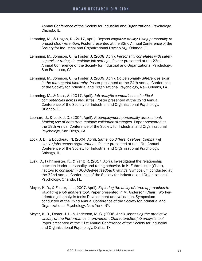Annual Conference of the Society for Industrial and Organizational Psychology, Chicago, IL.

- Lemming, M., & Hogan, R. (2017, April). *Beyond cognitive ability: Using personality to predict study retention.* Poster presented at the 32nd Annual Conference of the Society for Industrial and Organizational Psychology, Orlando, FL.
- Lemming, M., Johnson, C., & Foster, J. (2008, April). *Personality correlates with safety supervisor ratings in multiple job settings.* Poster presented at the 23rd Annual Conference of the Society for Industrial and Organizational Psychology, San Francisco, CA.
- Lemming, M., Johnson, C., & Foster, J. (2009, April). *Do personality differences exist in the managerial hierarchy.* Poster presented at the 24th Annual Conference of the Society for Industrial and Organizational Psychology, New Orleans, LA.
- Lemming, M., & Ness, A. (2017, April). *Job analytic comparisons of critical competencies across industries*. Poster presented at the 32nd Annual Conference of the Society for Industrial and Organizational Psychology, Orlando, FL.
- Leonard, J., & Lock, J. D. (2004, April). *Preemployment personality assessment: Making use of data from multiple validation strategies.* Paper presented at the 19th Annual Conference of the Society for Industrial and Organizational Psychology, San Diego, CA.
- Lock, J. D., & Boudreau, N. (2004, April). *Same job different values: Comparing similar jobs across organizations*. Poster presented at the 19th Annual Conference of the Society for Industrial and Organizational Psychology, Chicago, IL.
- Lusk, D., Fuhrmeister, K., & Yang, R. (2017, April). Investigating the relationship between leader personality and rating behavior. In K. Fuhrmeister (Chair), *Factors to consider in 360-degree feedback ratings*. Symposium conducted at the 32nd Annual Conference of the Society for Industrial and Organizational Psychology, Orlando, FL.
- Meyer, K. D., & Foster, J. L. (2007, April). *Exploring the utility of three approaches to validating a job analysis tool*. Paper presented in M. Anderson (Chair), Workeroriented job analysis tools: Development and validation. Symposium conducted at the 22nd Annual Conference of the Society for Industrial and Organizational Psychology, New York, NY.
- Meyer, K. D., Foster, J. L., & Anderson, M. G. (2006, April). *Assessing the predictive validity of the Performance Improvement Characteristics job analysis tool.*  Paper presented at the 21st Annual Conference of the Society for Industrial and Organizational Psychology, Dallas, TX.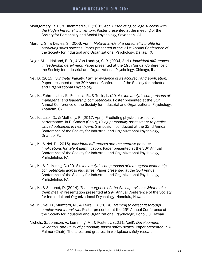- Montgomery, R. L., & Haemmerlie, F. (2002, April). *Predicting college success with the Hogan Personality Inventory*. Poster presented at the meeting of the Society for Personality and Social Psychology, Savannah, GA.
- Murphy, S., & Davies, S. (2006, April). *Meta-analysis of a personality profile for predicting sales success*. Paper presented at the 21st Annual Conference of the Society for Industrial and Organizational Psychology, Dallas, TX.
- Najar. M. J., Holland, B. D., & Van Landuyt, C. R. (2004, April). *Individual differences in leadership derailment.* Paper presented at the 19th Annual Conference of the Society for Industrial and Organizational Psychology, Chicago, IL.
- Nei, D. (2015). *Synthetic Validity: Further evidence of its accuracy and application.* Paper presented at the 30<sup>th</sup> Annual Conference of the Society for Industrial and Organizational Psychology.
- Nei, K., Fuhrmeister, K., Fonseca, R., & Tecle, L. (2016). *Job analytic comparisons of managerial and leadership competencies.* Poster presented at the 31st Annual Conference of the Society for Industrial and Organizational Psychology, Anaheim, CA.
- Nei, K., Lusk, D., & Metheny, R. (2017, April). Predicting physician executive performance. In B. Gaddis (Chair), *Using personality assessment to predict valued outcomes in healthcare*. Symposium conducted at the 32nd Annual Conference of the Society for Industrial and Organizational Psychology, Orlando, FL.
- Nei, K., & Nei, D. (2015). *Individual differences and the creative process: Implications for talent identification.* Paper presented at the 30<sup>th</sup> Annual Conference of the Society for Industrial and Organizational Psychology, Philadelphia, PA.
- Nei, K., & Pickering, D. (2015). *Job analytic comparisons of managerial leadership competencies across industries.* Paper presented at the 30th Annual Conference of the Society for Industrial and Organizational Psychology, Philadelphia, PA.
- Nei, K., & Simonet, D. (2014). *The emergence of abusive supervisors: What makes them mean?* Presentation presented at 29th Annual Conference of the Society for Industrial and Organizational Psychology, Honolulu, Hawaii.
- Nei, K., Nei, D., Mumford, M., & Ferrell, B. (2014). *Training to detect fit through employment interviews*. Poster presented at the 29th Annual Conference of the Society for Industrial and Organizational Psychology, Honolulu, Hawaii.
- Nichols, S., Johnson, A., Lemming, M., & Foster, J. (2011, April). *Development, validation, and utility of personality-based safety scales*. Paper presented in A. Palmer (Chair), The latest and greatest in workplace safety research.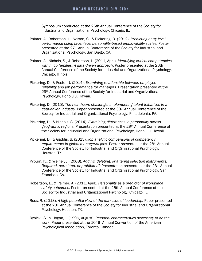Symposium conducted at the 26th Annual Conference of the Society for Industrial and Organizational Psychology, Chicago, IL.

- Palmer, A., Robertson, L., Nelson, C., & Pickering, D. (2012). *Predicting entry-level performance using facet-level personality-based employability scales.* Poster presented at the 27th Annual Conference of the Society for Industrial and Organizational Psychology, San Diego, CA.
- Palmer, A., Nichols, S., & Robertson, L. (2011, April). *Identifying critical competencies within job families: A data-driven approach*. Poster presented at the 26th Annual Conference of the Society for Industrial and Organizational Psychology, Chicago, Illinois.
- Pickering, D., & Foster, J. (2014). *Examining relationship between employee reliability and job performance for managers*. Presentation presented at the 29<sup>th</sup> Annual Conference of the Society for Industrial and Organizational Psychology, Honolulu, Hawaii.
- Pickering, D. (2015). *The healthcare challenge: Implementing talent initiatives in a data-driven industry*. Paper presented at the 30th Annual Conference of the Society for Industrial and Organizational Psychology, Philadelphia, PA.
- Pickering, D., & Nichols, S. (2014). *Examining differences in personality across geographic regions.* Presentation presented at the 29th Annual Conference of the Society for Industrial and Organizational Psychology, Honolulu, Hawaii.
- Pickering, D., & Gaddis, B. (2013). *Job analytic comparisons of competency requirements in global managerial jobs.* Poster presented at the 28th Annual Conference of the Society for Industrial and Organizational Psychology, Houston, TX.
- Pyburn, K., & Weiner, J. (2008). *Adding, deleting, or altering selection instruments: Required, permitted, or prohibited?* Presentation presented at the 23rd Annual Conference of the Society for Industrial and Organizational Psychology, San Francisco, CA.
- Robertson, L., & Palmer, A. (2011, April). *Personality as a predictor of workplace safety outcomes.* Poster presented at the 26th Annual Conference of the Society for Industrial and Organizational Psychology, Chicago, IL.
- Ross, R. (2013). *A high potential view of the dark side of leadership.* Paper presented at the 28<sup>th</sup> Annual Conference of the Society for Industrial and Organizational Psychology, Houston, TX.
- Rybicki, S., & Hogan, J. (1996, August). *Personal characteristics necessary to do the work.* Paper presented at the 104th Annual Convention of the American Psychological Association, Toronto, Canada.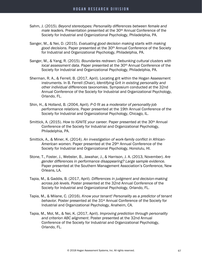- Sahm, J. (2015). *Beyond stereotypes: Personality differences between female and male leaders.* Presentation presented at the 30th Annual Conference of the Society for Industrial and Organizational Psychology, Philadelphia, PA.
- Sanger, M., & Nei, D. (2015). *Evaluating good decision making starts with making good decisions.* Paper presented at the 30th Annual Conference of the Society for Industrial and Organizational Psychology, Philadelphia, PA.
- Sanger, M., & Yang, R. (2015). *Boundaries redrawn: Debunking cultural clusters with local assessment data*. Paper presented at the 30th Annual Conference of the Society for Industrial and Organizational Psychology, Philadelphia, PA.
- Sherman, R. A., & Ferrell, B. (2017, April). Locating grit within the Hogan Assessment instruments. In B. Ferrell (Chair), *Identifying Grit in existing personality and other individual differences taxonomies*. Symposium conducted at the 32nd Annual Conference of the Society for Industrial and Organizational Psychology, Orlando, FL.
- Shin, H., & Holland, B. (2004, April). *P-O fit as a moderator of personality-job performance relations*. Paper presented at the 19th Annual Conference of the Society for Industrial and Organizational Psychology, Chicago, IL.
- Smittick, A. (2015). *How to IGNITE your career.* Paper presented at the 30th Annual Conference of the Society for Industrial and Organizational Psychology, Philadelphia, PA.
- Smittick, A., & Miner, K. (2014). *An investigation of work-family conflict in African-American women.* Paper presented at the 29th Annual Conference of the Society for Industrial and Organizational Psychology, Honolulu, HI.
- Stone, T., Foster, J., Webster, B., Jawahar, J., & Harrison, J. A. (2013, November). *Are gender differences in performance disappearing? Large sample evidence.*  Paper presented at the Southern Management Association's Conference, New Orleans, LA.
- Tapia, M., & Gaddis, B. (2017, April). *Differences in judgment and decision-making across job levels*. Poster presented at the 32nd Annual Conference of the Society for Industrial and Organizational Psychology, Orlando, FL.
- Tapia, M., & Milane, C. (2016). *Know your tenant! Personality as a predictor of tenant behavior.* Poster presented at the 31st Annual Conference of the Society for Industrial and Organizational Psychology, Anaheim, CA.
- Tapia, M., Mol, M., & Nei, K. (2017, April). *Improving prediction through personality and criterion ABC alignment*. Poster presented at the 32nd Annual Conference of the Society for Industrial and Organizational Psychology, Orlando, FL.